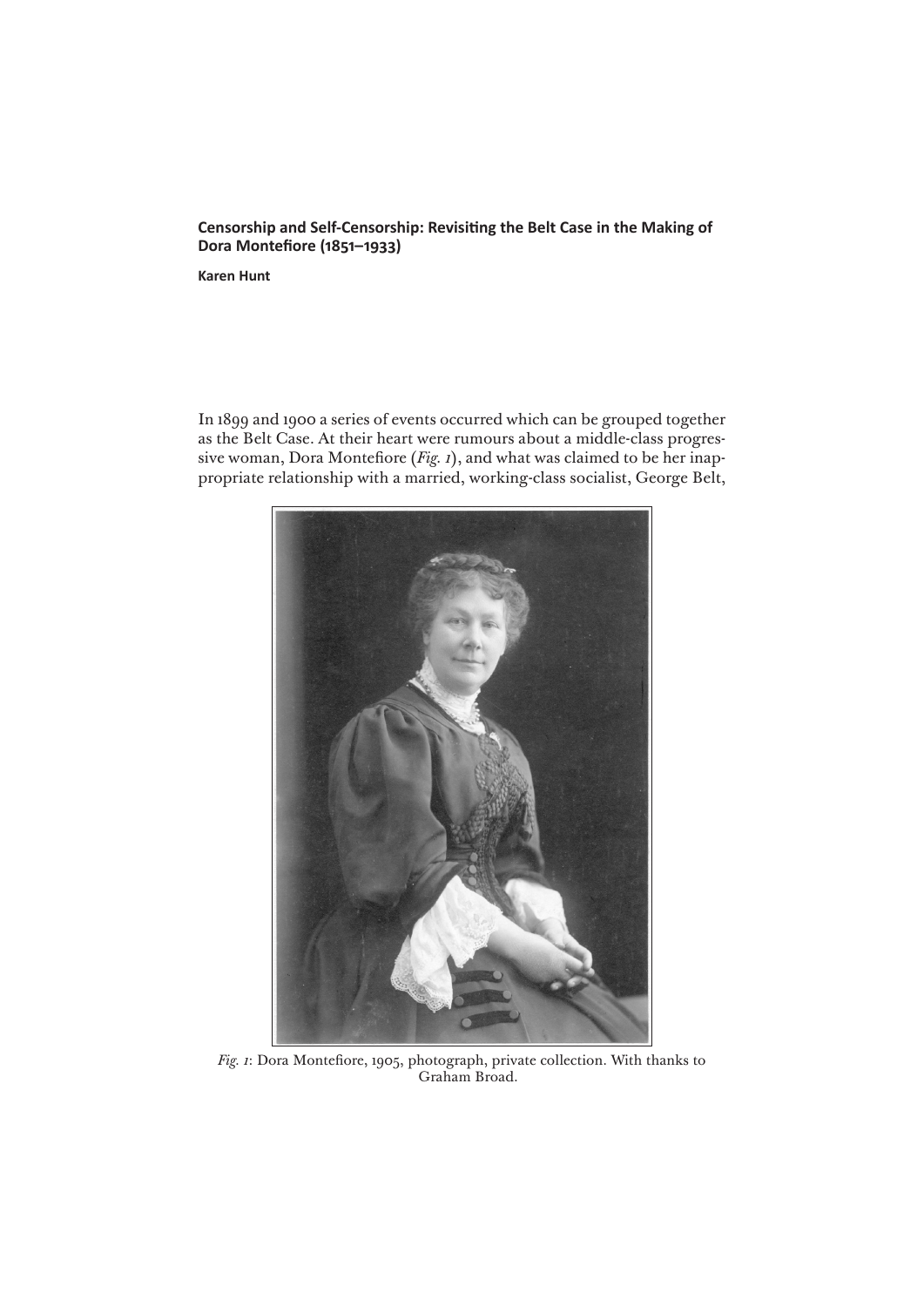# **Censorship and Self-Censorship: Revisiting the Belt Case in the Making of Dora Montefiore (1851–1933)**

**Karen Hunt**

In 1899 and 1900 a series of events occurred which can be grouped together as the Belt Case. At their heart were rumours about a middle-class progressive woman, Dora Montefiore (*Fig. 1*), and what was claimed to be her inappropriate relationship with a married, working-class socialist, George Belt,



*Fig. 1*: Dora Montefiore, 1905, photograph, private collection. With thanks to Graham Broad.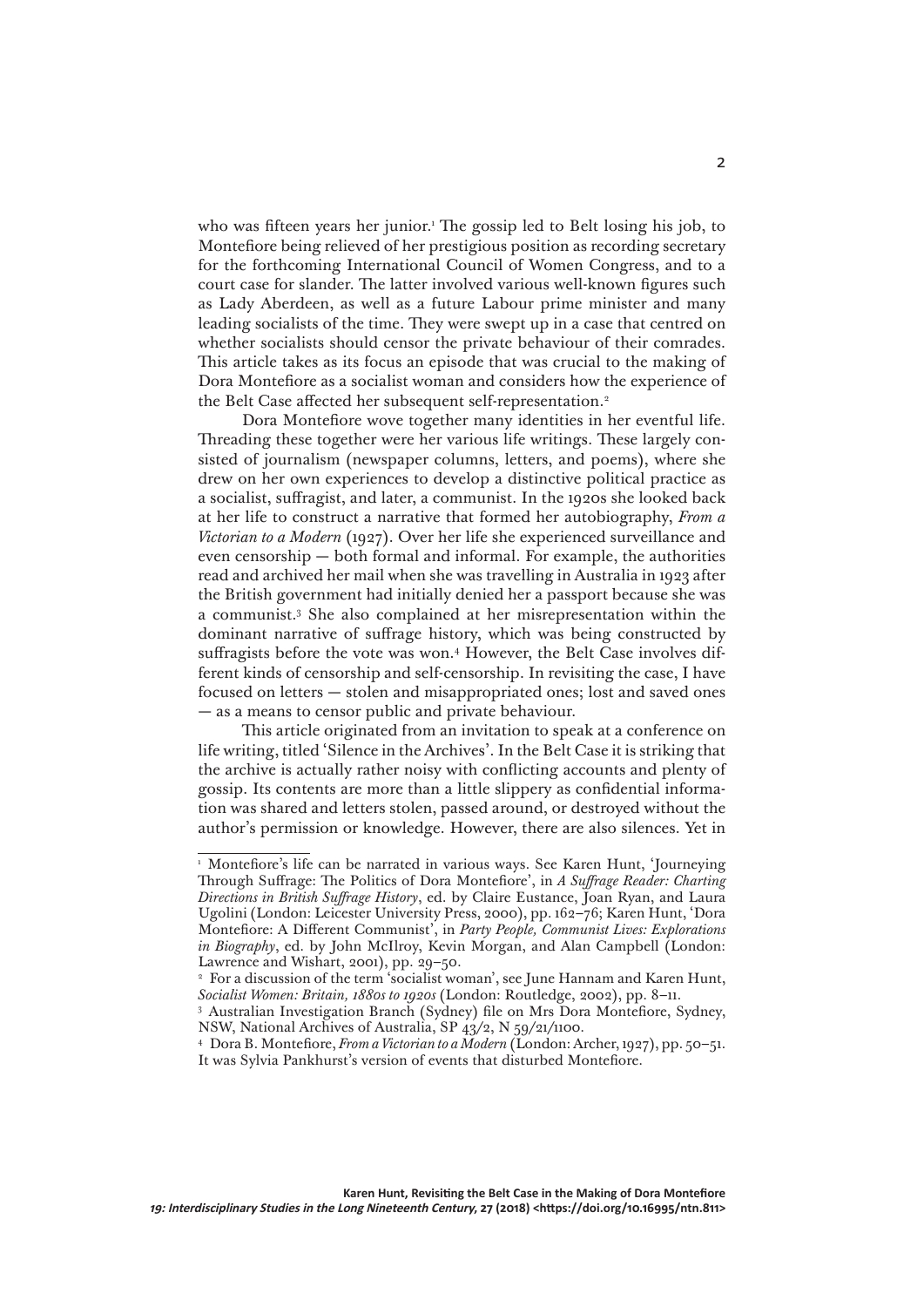who was fifteen years her junior.1 The gossip led to Belt losing his job, to Montefiore being relieved of her prestigious position as recording secretary for the forthcoming International Council of Women Congress, and to a court case for slander. The latter involved various well-known figures such as Lady Aberdeen, as well as a future Labour prime minister and many leading socialists of the time. They were swept up in a case that centred on whether socialists should censor the private behaviour of their comrades. This article takes as its focus an episode that was crucial to the making of Dora Montefiore as a socialist woman and considers how the experience of the Belt Case affected her subsequent self-representation.2

Dora Montefiore wove together many identities in her eventful life. Threading these together were her various life writings. These largely consisted of journalism (newspaper columns, letters, and poems), where she drew on her own experiences to develop a distinctive political practice as a socialist, suffragist, and later, a communist. In the 1920s she looked back at her life to construct a narrative that formed her autobiography, *From a Victorian to a Modern* (1927). Over her life she experienced surveillance and even censorship — both formal and informal. For example, the authorities read and archived her mail when she was travelling in Australia in 1923 after the British government had initially denied her a passport because she was a communist.3 She also complained at her misrepresentation within the dominant narrative of suffrage history, which was being constructed by suffragists before the vote was won.<sup>4</sup> However, the Belt Case involves different kinds of censorship and self-censorship. In revisiting the case, I have focused on letters — stolen and misappropriated ones; lost and saved ones — as a means to censor public and private behaviour.

This article originated from an invitation to speak at a conference on life writing, titled 'Silence in the Archives'. In the Belt Case it is striking that the archive is actually rather noisy with conflicting accounts and plenty of gossip. Its contents are more than a little slippery as confidential information was shared and letters stolen, passed around, or destroyed without the author's permission or knowledge. However, there are also silences. Yet in

<sup>&</sup>lt;sup>1</sup> Montefiore's life can be narrated in various ways. See Karen Hunt, 'Journeying Through Suffrage: The Politics of Dora Montefiore', in *A Suffrage Reader: Charting Directions in British Suffrage History*, ed. by Claire Eustance, Joan Ryan, and Laura Ugolini (London: Leicester University Press, 2000), pp. 162–76; Karen Hunt, 'Dora Montefiore: A Different Communist', in *Party People, Communist Lives: Explorations in Biography*, ed. by John McIlroy, Kevin Morgan, and Alan Campbell (London: Lawrence and Wishart, 2001), pp. 29–50.

<sup>&</sup>lt;sup>2</sup> For a discussion of the term 'socialist woman', see June Hannam and Karen Hunt, *Socialist Women: Britain, 1880s to 1920s* (London: Routledge, 2002), pp. 8–11.

<sup>3</sup> Australian Investigation Branch (Sydney) file on Mrs Dora Montefiore, Sydney, NSW, National Archives of Australia, SP 43/2, N 59/21/1100.

<sup>4</sup> Dora B. Montefiore, *From a Victorian to a Modern* (London: Archer, 1927), pp. 50–51. It was Sylvia Pankhurst's version of events that disturbed Montefiore.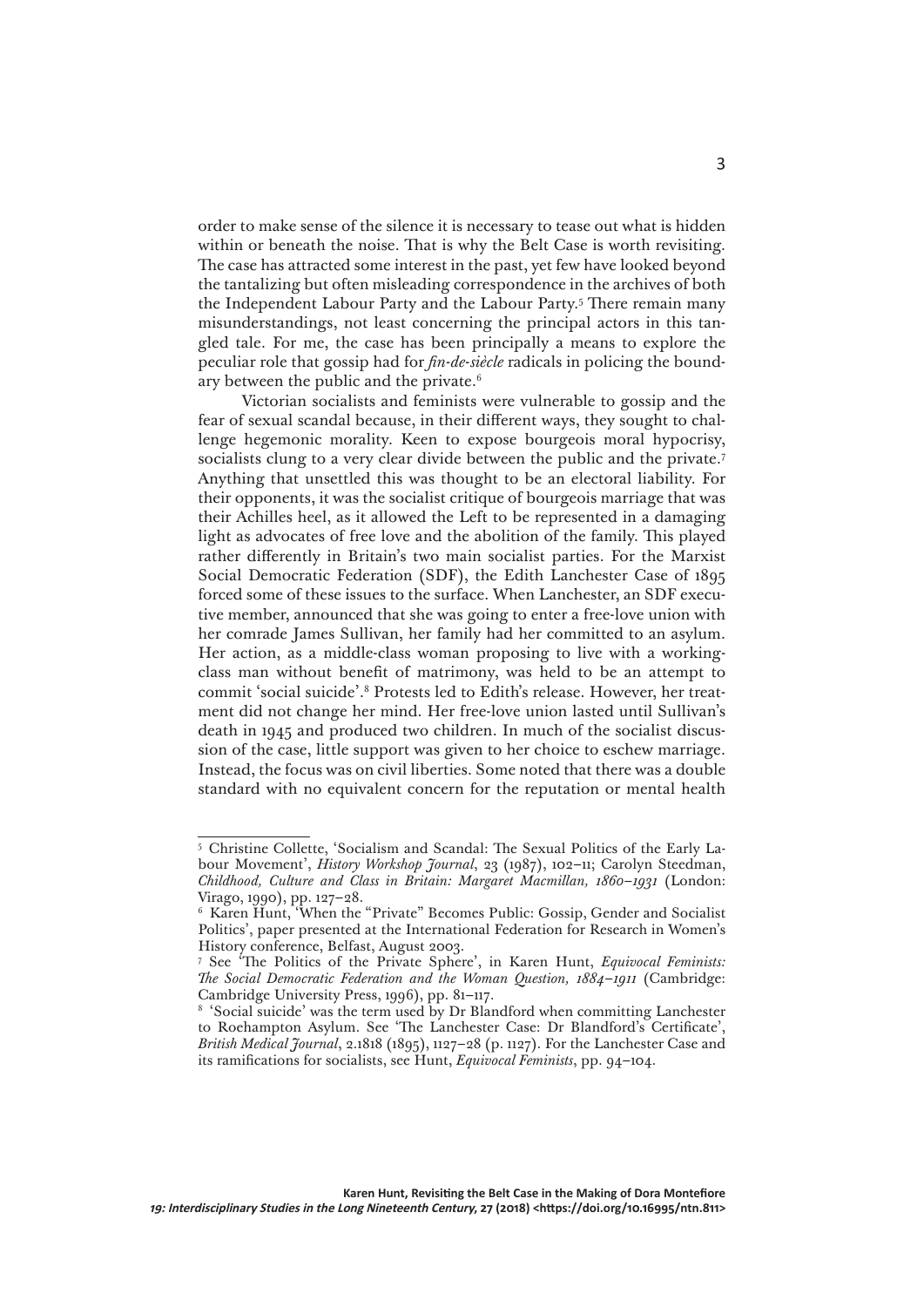order to make sense of the silence it is necessary to tease out what is hidden within or beneath the noise. That is why the Belt Case is worth revisiting. The case has attracted some interest in the past, yet few have looked beyond the tantalizing but often misleading correspondence in the archives of both the Independent Labour Party and the Labour Party.5 There remain many misunderstandings, not least concerning the principal actors in this tangled tale. For me, the case has been principally a means to explore the peculiar role that gossip had for *fin-de-siècle* radicals in policing the boundary between the public and the private.6

Victorian socialists and feminists were vulnerable to gossip and the fear of sexual scandal because, in their different ways, they sought to challenge hegemonic morality. Keen to expose bourgeois moral hypocrisy, socialists clung to a very clear divide between the public and the private.<sup>7</sup> Anything that unsettled this was thought to be an electoral liability. For their opponents, it was the socialist critique of bourgeois marriage that was their Achilles heel, as it allowed the Left to be represented in a damaging light as advocates of free love and the abolition of the family. This played rather differently in Britain's two main socialist parties. For the Marxist Social Democratic Federation (SDF), the Edith Lanchester Case of 1895 forced some of these issues to the surface. When Lanchester, an SDF executive member, announced that she was going to enter a free-love union with her comrade James Sullivan, her family had her committed to an asylum. Her action, as a middle-class woman proposing to live with a workingclass man without benefit of matrimony, was held to be an attempt to commit 'social suicide'.8 Protests led to Edith's release. However, her treatment did not change her mind. Her free-love union lasted until Sullivan's death in 1945 and produced two children. In much of the socialist discussion of the case, little support was given to her choice to eschew marriage. Instead, the focus was on civil liberties. Some noted that there was a double standard with no equivalent concern for the reputation or mental health

<sup>5</sup> Christine Collette, 'Socialism and Scandal: The Sexual Politics of the Early Labour Movement', *History Workshop Journal*, 23 (1987), 102–11; Carolyn Steedman, *Childhood, Culture and Class in Britain: Margaret Macmillan, 1860–1931* (London: Virago, 1990), pp. 127–28.

<sup>6</sup> Karen Hunt, 'When the "Private" Becomes Public: Gossip, Gender and Socialist Politics', paper presented at the International Federation for Research in Women's History conference, Belfast, August 2003.

<sup>7</sup> See 'The Politics of the Private Sphere', in Karen Hunt, *Equivocal Feminists: The Social Democratic Federation and the Woman Question, 1884–1911* (Cambridge: Cambridge University Press, 1996), pp. 81–117.

<sup>&</sup>lt;sup>8</sup> 'Social suicide' was the term used by Dr Blandford when committing Lanchester to Roehampton Asylum. See 'The Lanchester Case: Dr Blandford's Certificate', *British Medical Journal*, 2.1818 (1895), 1127–28 (p. 1127). For the Lanchester Case and its ramifications for socialists, see Hunt, *Equivocal Feminists*, pp. 94–104.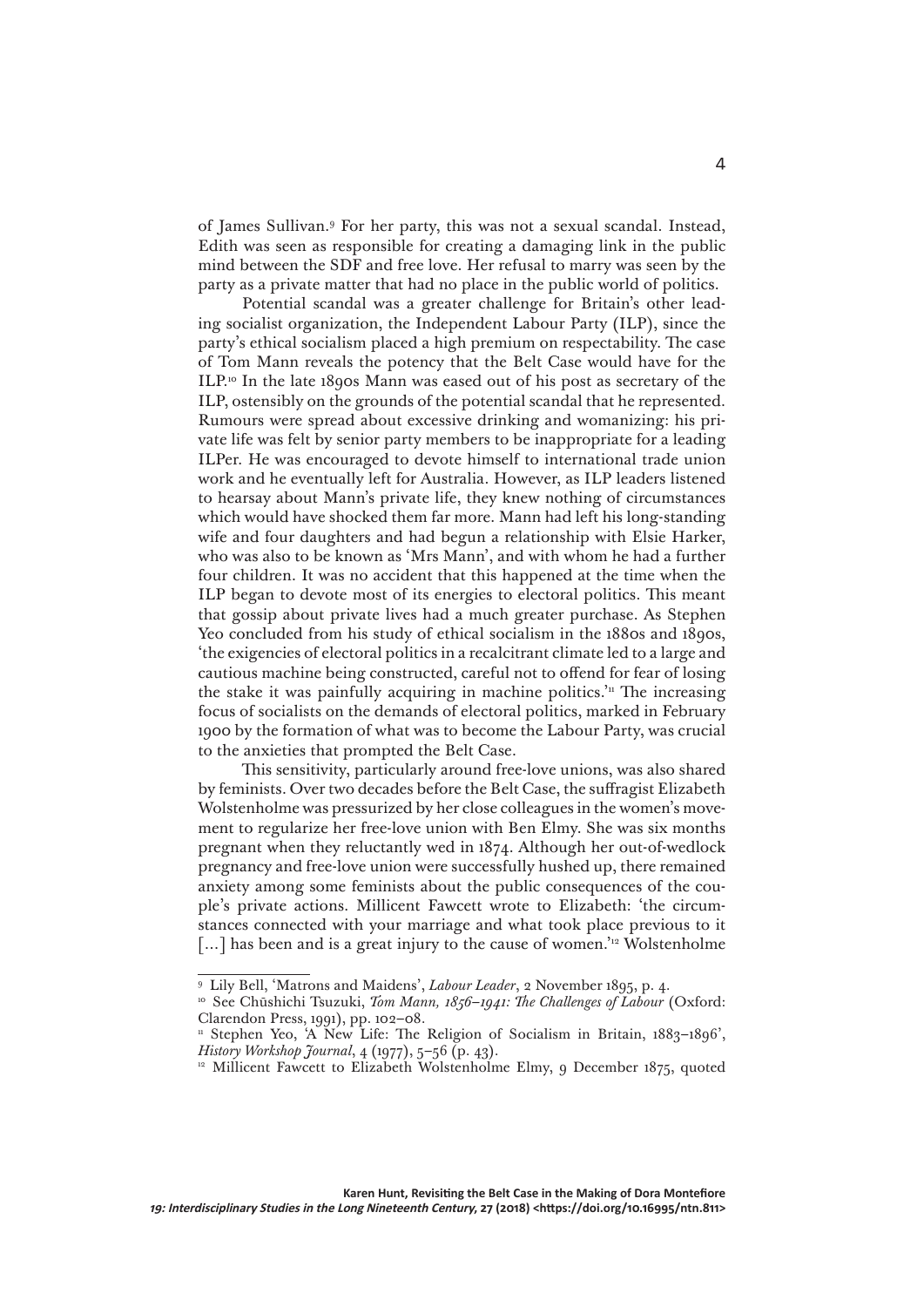of James Sullivan.9 For her party, this was not a sexual scandal. Instead, Edith was seen as responsible for creating a damaging link in the public mind between the SDF and free love. Her refusal to marry was seen by the party as a private matter that had no place in the public world of politics.

Potential scandal was a greater challenge for Britain's other leading socialist organization, the Independent Labour Party (ILP), since the party's ethical socialism placed a high premium on respectability. The case of Tom Mann reveals the potency that the Belt Case would have for the ILP.10 In the late 1890s Mann was eased out of his post as secretary of the ILP, ostensibly on the grounds of the potential scandal that he represented. Rumours were spread about excessive drinking and womanizing: his private life was felt by senior party members to be inappropriate for a leading ILPer. He was encouraged to devote himself to international trade union work and he eventually left for Australia. However, as ILP leaders listened to hearsay about Mann's private life, they knew nothing of circumstances which would have shocked them far more. Mann had left his long-standing wife and four daughters and had begun a relationship with Elsie Harker, who was also to be known as 'Mrs Mann', and with whom he had a further four children. It was no accident that this happened at the time when the ILP began to devote most of its energies to electoral politics. This meant that gossip about private lives had a much greater purchase. As Stephen Yeo concluded from his study of ethical socialism in the 1880s and 1890s, 'the exigencies of electoral politics in a recalcitrant climate led to a large and cautious machine being constructed, careful not to offend for fear of losing the stake it was painfully acquiring in machine politics.<sup>'n</sup> The increasing focus of socialists on the demands of electoral politics, marked in February 1900 by the formation of what was to become the Labour Party, was crucial to the anxieties that prompted the Belt Case.

This sensitivity, particularly around free-love unions, was also shared by feminists. Over two decades before the Belt Case, the suffragist Elizabeth Wolstenholme was pressurized by her close colleagues in the women's movement to regularize her free-love union with Ben Elmy. She was six months pregnant when they reluctantly wed in 1874. Although her out-of-wedlock pregnancy and free-love union were successfully hushed up, there remained anxiety among some feminists about the public consequences of the couple's private actions. Millicent Fawcett wrote to Elizabeth: 'the circumstances connected with your marriage and what took place previous to it [...] has been and is a great injury to the cause of women.<sup>'12</sup> Wolstenholme

<sup>9</sup> Lily Bell, 'Matrons and Maidens', *Labour Leader*, 2 November 1895, p. 4.

<sup>&</sup>lt;sup>10</sup> See Chūshichi Tsuzuki, *Tom Mann, 1856–1941: The Challenges of Labour* (Oxford: Clarendon Press, 1991), pp. 102–08.

<sup>&</sup>lt;sup>11</sup> Stephen Yeo, 'A New Life: The Religion of Socialism in Britain, 1883-1896', *History Workshop Journal*, 4 (1977), 5–56 (p. 43).

<sup>&</sup>lt;sup>12</sup> Millicent Fawcett to Elizabeth Wolstenholme Elmy, 9 December 1875, quoted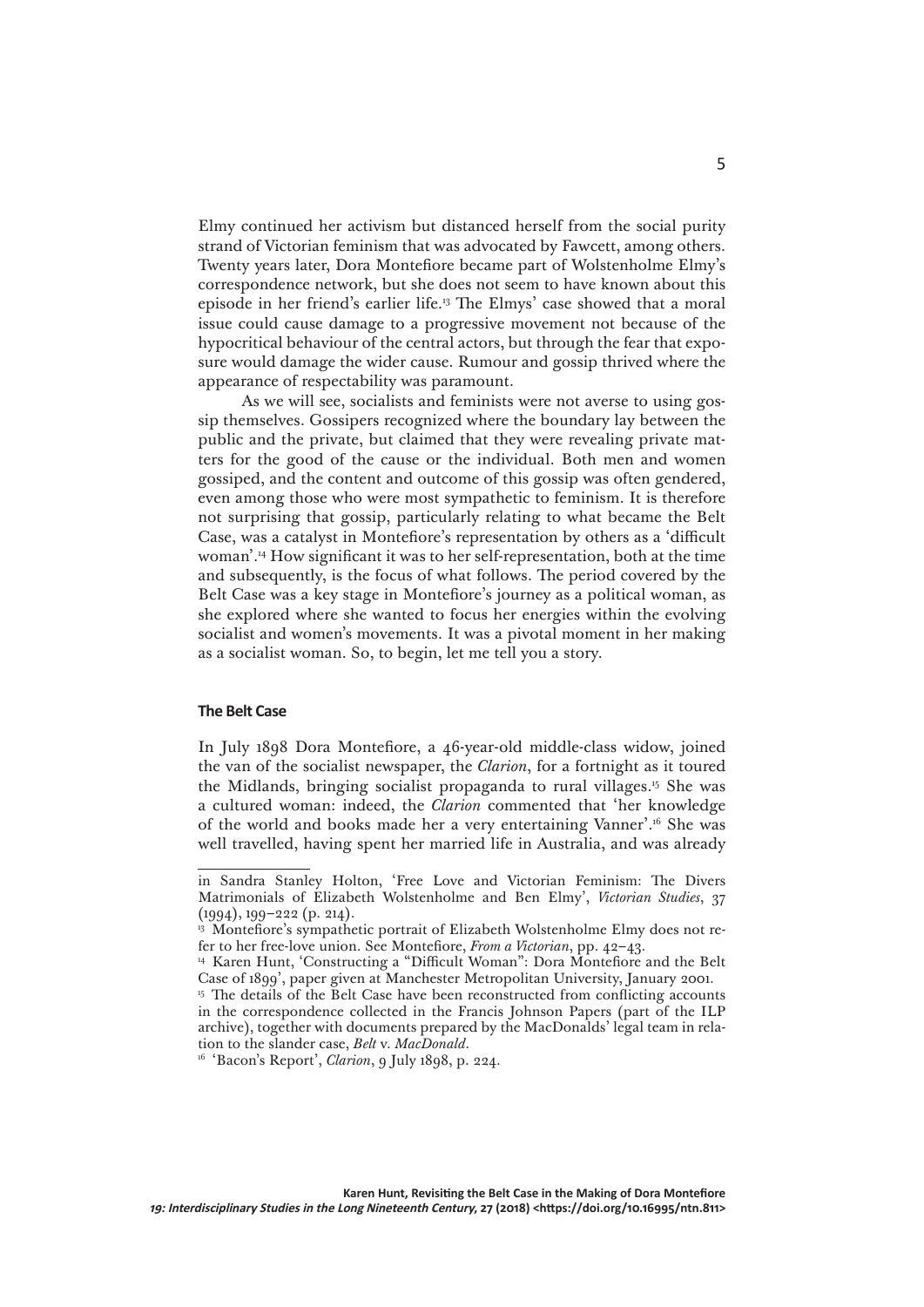Elmy continued her activism but distanced herself from the social purity strand of Victorian feminism that was advocated by Fawcett, among others. Twenty years later, Dora Montefiore became part of Wolstenholme Elmy's correspondence network, but she does not seem to have known about this episode in her friend's earlier life.13 The Elmys' case showed that a moral issue could cause damage to a progressive movement not because of the hypocritical behaviour of the central actors, but through the fear that exposure would damage the wider cause. Rumour and gossip thrived where the appearance of respectability was paramount.

As we will see, socialists and feminists were not averse to using gossip themselves. Gossipers recognized where the boundary lay between the public and the private, but claimed that they were revealing private matters for the good of the cause or the individual. Both men and women gossiped, and the content and outcome of this gossip was often gendered, even among those who were most sympathetic to feminism. It is therefore not surprising that gossip, particularly relating to what became the Belt Case, was a catalyst in Montefiore's representation by others as a 'difficult woman'.14 How significant it was to her self-representation, both at the time and subsequently, is the focus of what follows. The period covered by the Belt Case was a key stage in Montefiore's journey as a political woman, as she explored where she wanted to focus her energies within the evolving socialist and women's movements. It was a pivotal moment in her making as a socialist woman. So, to begin, let me tell you a story.

## **The Belt Case**

In July 1898 Dora Montefiore, a 46-year-old middle-class widow, joined the van of the socialist newspaper, the *Clarion*, for a fortnight as it toured the Midlands, bringing socialist propaganda to rural villages.15 She was a cultured woman: indeed, the *Clarion* commented that 'her knowledge of the world and books made her a very entertaining Vanner'.16 She was well travelled, having spent her married life in Australia, and was already

in Sandra Stanley Holton, 'Free Love and Victorian Feminism: The Divers Matrimonials of Elizabeth Wolstenholme and Ben Elmy', *Victorian Studies*, 37 (1994), 199–222 (p. 214).

<sup>&</sup>lt;sup>13</sup> Montefiore's sympathetic portrait of Elizabeth Wolstenholme Elmy does not refer to her free-love union. See Montefiore, *From a Victorian*, pp. 42–43.

<sup>14</sup> Karen Hunt, 'Constructing a "Difficult Woman": Dora Montefiore and the Belt Case of 1899', paper given at Manchester Metropolitan University, January 2001.

<sup>&</sup>lt;sup>15</sup> The details of the Belt Case have been reconstructed from conflicting accounts in the correspondence collected in the Francis Johnson Papers (part of the ILP archive), together with documents prepared by the MacDonalds' legal team in relation to the slander case, *Belt* v. *MacDonald*.

<sup>16</sup> 'Bacon's Report', *Clarion*, 9 July 1898, p. 224.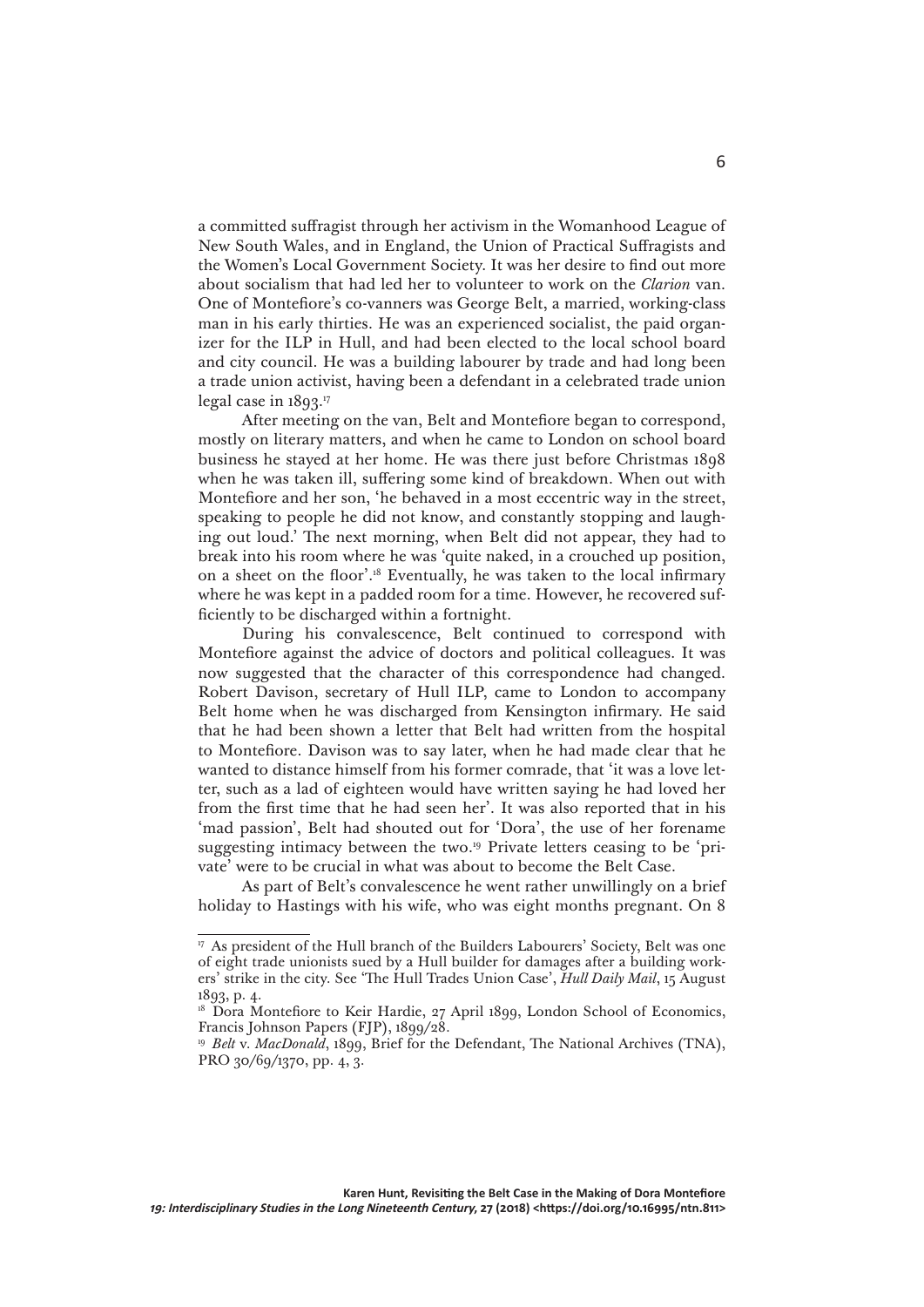a committed suffragist through her activism in the Womanhood League of New South Wales, and in England, the Union of Practical Suffragists and the Women's Local Government Society. It was her desire to find out more about socialism that had led her to volunteer to work on the *Clarion* van. One of Montefiore's co-vanners was George Belt, a married, working-class man in his early thirties. He was an experienced socialist, the paid organizer for the ILP in Hull, and had been elected to the local school board and city council. He was a building labourer by trade and had long been a trade union activist, having been a defendant in a celebrated trade union legal case in 1893.17

After meeting on the van, Belt and Montefiore began to correspond, mostly on literary matters, and when he came to London on school board business he stayed at her home. He was there just before Christmas 1898 when he was taken ill, suffering some kind of breakdown. When out with Montefiore and her son, 'he behaved in a most eccentric way in the street, speaking to people he did not know, and constantly stopping and laughing out loud.' The next morning, when Belt did not appear, they had to break into his room where he was 'quite naked, in a crouched up position, on a sheet on the floor'.18 Eventually, he was taken to the local infirmary where he was kept in a padded room for a time. However, he recovered sufficiently to be discharged within a fortnight.

During his convalescence, Belt continued to correspond with Montefiore against the advice of doctors and political colleagues. It was now suggested that the character of this correspondence had changed. Robert Davison, secretary of Hull ILP, came to London to accompany Belt home when he was discharged from Kensington infirmary. He said that he had been shown a letter that Belt had written from the hospital to Montefiore. Davison was to say later, when he had made clear that he wanted to distance himself from his former comrade, that 'it was a love letter, such as a lad of eighteen would have written saying he had loved her from the first time that he had seen her'. It was also reported that in his 'mad passion', Belt had shouted out for 'Dora', the use of her forename suggesting intimacy between the two.19 Private letters ceasing to be 'private' were to be crucial in what was about to become the Belt Case.

As part of Belt's convalescence he went rather unwillingly on a brief holiday to Hastings with his wife, who was eight months pregnant. On 8

<sup>17</sup> As president of the Hull branch of the Builders Labourers' Society, Belt was one of eight trade unionists sued by a Hull builder for damages after a building workers' strike in the city. See 'The Hull Trades Union Case', *Hull Daily Mail*, 15 August 1893, p. 4.

<sup>&</sup>lt;sup>18</sup> Dora Montefiore to Keir Hardie, 27 April 1899, London School of Economics, Francis Johnson Papers (FJP), 1899/28.

<sup>&</sup>lt;sup>19</sup> *Belt* v. *MacDonald*, 1899, Brief for the Defendant, The National Archives (TNA), PRO 30/69/1370, pp. 4, 3.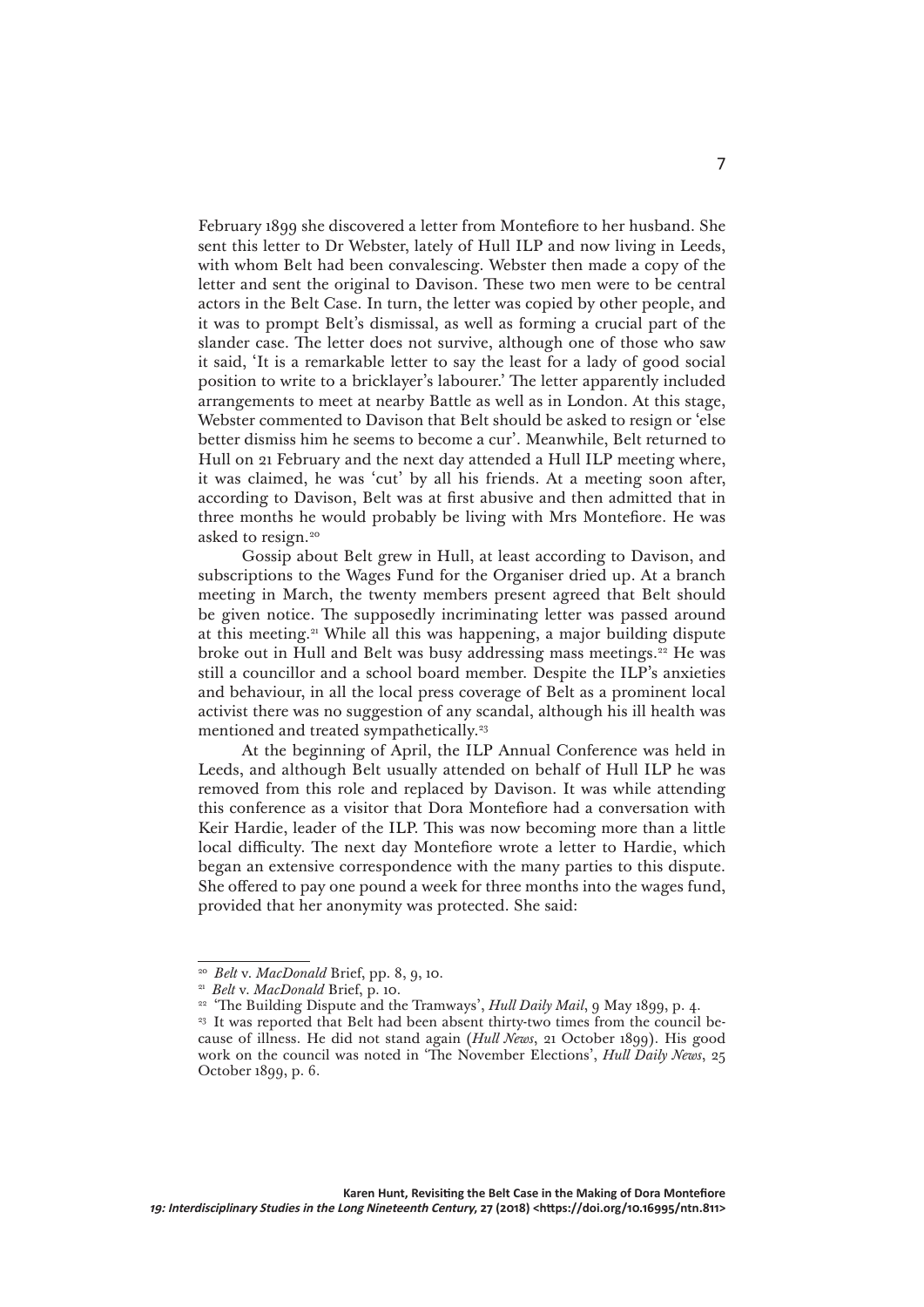February 1899 she discovered a letter from Montefiore to her husband. She sent this letter to Dr Webster, lately of Hull ILP and now living in Leeds, with whom Belt had been convalescing. Webster then made a copy of the letter and sent the original to Davison. These two men were to be central actors in the Belt Case. In turn, the letter was copied by other people, and it was to prompt Belt's dismissal, as well as forming a crucial part of the slander case. The letter does not survive, although one of those who saw it said, 'It is a remarkable letter to say the least for a lady of good social position to write to a bricklayer's labourer.' The letter apparently included arrangements to meet at nearby Battle as well as in London. At this stage, Webster commented to Davison that Belt should be asked to resign or 'else better dismiss him he seems to become a cur'. Meanwhile, Belt returned to Hull on 21 February and the next day attended a Hull ILP meeting where, it was claimed, he was 'cut' by all his friends. At a meeting soon after, according to Davison, Belt was at first abusive and then admitted that in three months he would probably be living with Mrs Montefiore. He was asked to resign.20

Gossip about Belt grew in Hull, at least according to Davison, and subscriptions to the Wages Fund for the Organiser dried up. At a branch meeting in March, the twenty members present agreed that Belt should be given notice. The supposedly incriminating letter was passed around at this meeting.21 While all this was happening, a major building dispute broke out in Hull and Belt was busy addressing mass meetings.<sup>22</sup> He was still a councillor and a school board member. Despite the ILP's anxieties and behaviour, in all the local press coverage of Belt as a prominent local activist there was no suggestion of any scandal, although his ill health was mentioned and treated sympathetically.<sup>23</sup>

At the beginning of April, the ILP Annual Conference was held in Leeds, and although Belt usually attended on behalf of Hull ILP he was removed from this role and replaced by Davison. It was while attending this conference as a visitor that Dora Montefiore had a conversation with Keir Hardie, leader of the ILP. This was now becoming more than a little local difficulty. The next day Montefiore wrote a letter to Hardie, which began an extensive correspondence with the many parties to this dispute. She offered to pay one pound a week for three months into the wages fund, provided that her anonymity was protected. She said:

<sup>20</sup> *Belt* v. *MacDonald* Brief, pp. 8, 9, 10.

<sup>21</sup> *Belt* v. *MacDonald* Brief, p. 10.

<sup>&</sup>lt;sup>22</sup> 'The Building Dispute and the Tramways', *Hull Daily Mail*, 9 May 1899, p. 4.

<sup>&</sup>lt;sup>23</sup> It was reported that Belt had been absent thirty-two times from the council because of illness. He did not stand again (*Hull News*, 21 October 1899). His good work on the council was noted in 'The November Elections', *Hull Daily News*, 25 October 1899, p. 6.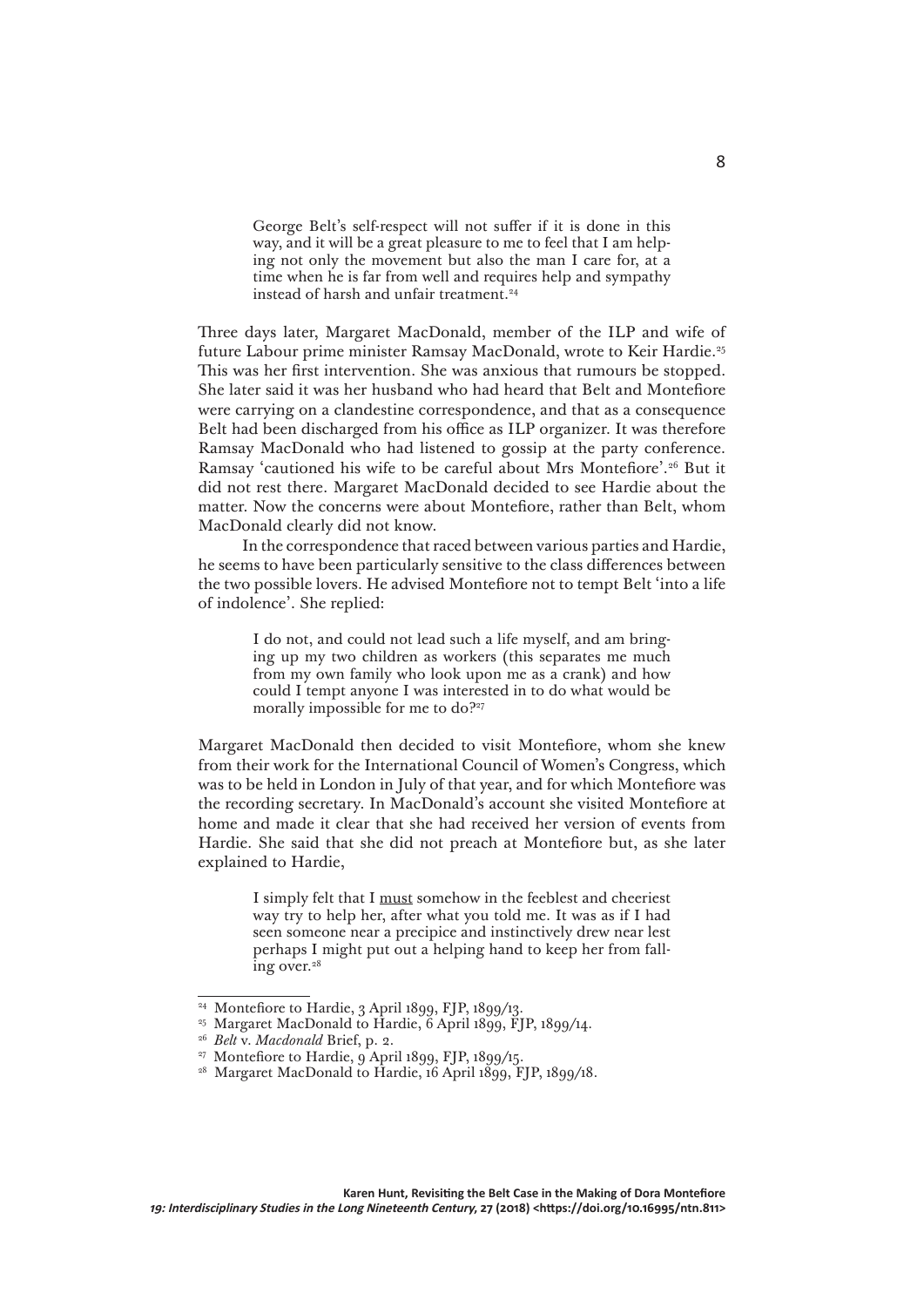George Belt's self-respect will not suffer if it is done in this way, and it will be a great pleasure to me to feel that I am helping not only the movement but also the man I care for, at a time when he is far from well and requires help and sympathy instead of harsh and unfair treatment.24

Three days later, Margaret MacDonald, member of the ILP and wife of future Labour prime minister Ramsay MacDonald, wrote to Keir Hardie.25 This was her first intervention. She was anxious that rumours be stopped. She later said it was her husband who had heard that Belt and Montefiore were carrying on a clandestine correspondence, and that as a consequence Belt had been discharged from his office as ILP organizer. It was therefore Ramsay MacDonald who had listened to gossip at the party conference. Ramsay 'cautioned his wife to be careful about Mrs Montefiore'.26 But it did not rest there. Margaret MacDonald decided to see Hardie about the matter. Now the concerns were about Montefiore, rather than Belt, whom MacDonald clearly did not know.

In the correspondence that raced between various parties and Hardie, he seems to have been particularly sensitive to the class differences between the two possible lovers. He advised Montefiore not to tempt Belt 'into a life of indolence'. She replied:

> I do not, and could not lead such a life myself, and am bringing up my two children as workers (this separates me much from my own family who look upon me as a crank) and how could I tempt anyone I was interested in to do what would be morally impossible for me to do?<sup>227</sup>

Margaret MacDonald then decided to visit Montefiore, whom she knew from their work for the International Council of Women's Congress, which was to be held in London in July of that year, and for which Montefiore was the recording secretary. In MacDonald's account she visited Montefiore at home and made it clear that she had received her version of events from Hardie. She said that she did not preach at Montefiore but, as she later explained to Hardie,

> I simply felt that I must somehow in the feeblest and cheeriest way try to help her, after what you told me. It was as if I had seen someone near a precipice and instinctively drew near lest perhaps I might put out a helping hand to keep her from falling over.<sup>28</sup>

<sup>24</sup> Montefiore to Hardie, 3 April 1899, FJP, 1899/13.

<sup>&</sup>lt;sup>25</sup> Margaret MacDonald to Hardie, 6 April 1899, FJP, 1899/14.

<sup>26</sup> *Belt* v. *Macdonald* Brief, p. 2.

<sup>&</sup>lt;sup>27</sup> Montefiore to Hardie, 9 April 1899, FJP, 1899/15.

<sup>&</sup>lt;sup>28</sup> Margaret MacDonald to Hardie, 16 April 1899, FJP, 1899/18.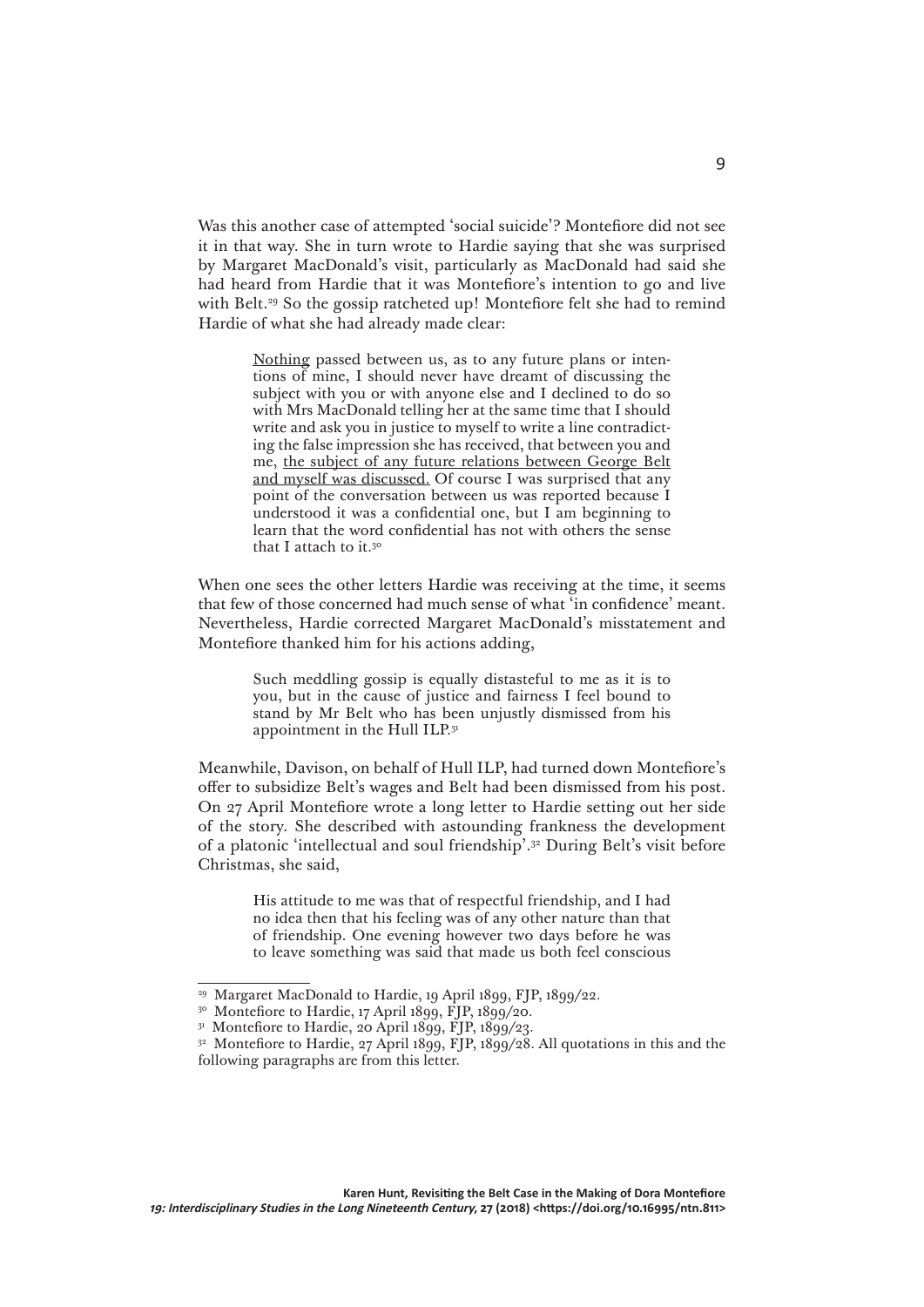Was this another case of attempted 'social suicide'? Montefiore did not see it in that way. She in turn wrote to Hardie saying that she was surprised by Margaret MacDonald's visit, particularly as MacDonald had said she had heard from Hardie that it was Montefiore's intention to go and live with Belt.<sup>29</sup> So the gossip ratcheted up! Montefiore felt she had to remind Hardie of what she had already made clear:

> Nothing passed between us, as to any future plans or intentions of mine, I should never have dreamt of discussing the subject with you or with anyone else and I declined to do so with Mrs MacDonald telling her at the same time that I should write and ask you in justice to myself to write a line contradicting the false impression she has received, that between you and me, the subject of any future relations between George Belt and myself was discussed. Of course I was surprised that any point of the conversation between us was reported because I understood it was a confidential one, but I am beginning to learn that the word confidential has not with others the sense that I attach to it.<sup>30</sup>

When one sees the other letters Hardie was receiving at the time, it seems that few of those concerned had much sense of what 'in confidence' meant. Nevertheless, Hardie corrected Margaret MacDonald's misstatement and Montefiore thanked him for his actions adding,

> Such meddling gossip is equally distasteful to me as it is to you, but in the cause of justice and fairness I feel bound to stand by Mr Belt who has been unjustly dismissed from his appointment in the Hull ILP.<sup>31</sup>

Meanwhile, Davison, on behalf of Hull ILP, had turned down Montefiore's offer to subsidize Belt's wages and Belt had been dismissed from his post. On 27 April Montefiore wrote a long letter to Hardie setting out her side of the story. She described with astounding frankness the development of a platonic 'intellectual and soul friendship'.32 During Belt's visit before Christmas, she said,

> His attitude to me was that of respectful friendship, and I had no idea then that his feeling was of any other nature than that of friendship. One evening however two days before he was to leave something was said that made us both feel conscious

<sup>29</sup> Margaret MacDonald to Hardie, 19 April 1899, FJP, 1899/22.

<sup>&</sup>lt;sup>30</sup> Montefiore to Hardie, 17 April 1899, FJP, 1899/20.

 $31$  Montefiore to Hardie, 20 April 1899, FJP, 1899/23.

<sup>&</sup>lt;sup>32</sup> Montefiore to Hardie, 27 April 1899, FJP, 1899/28. All quotations in this and the following paragraphs are from this letter.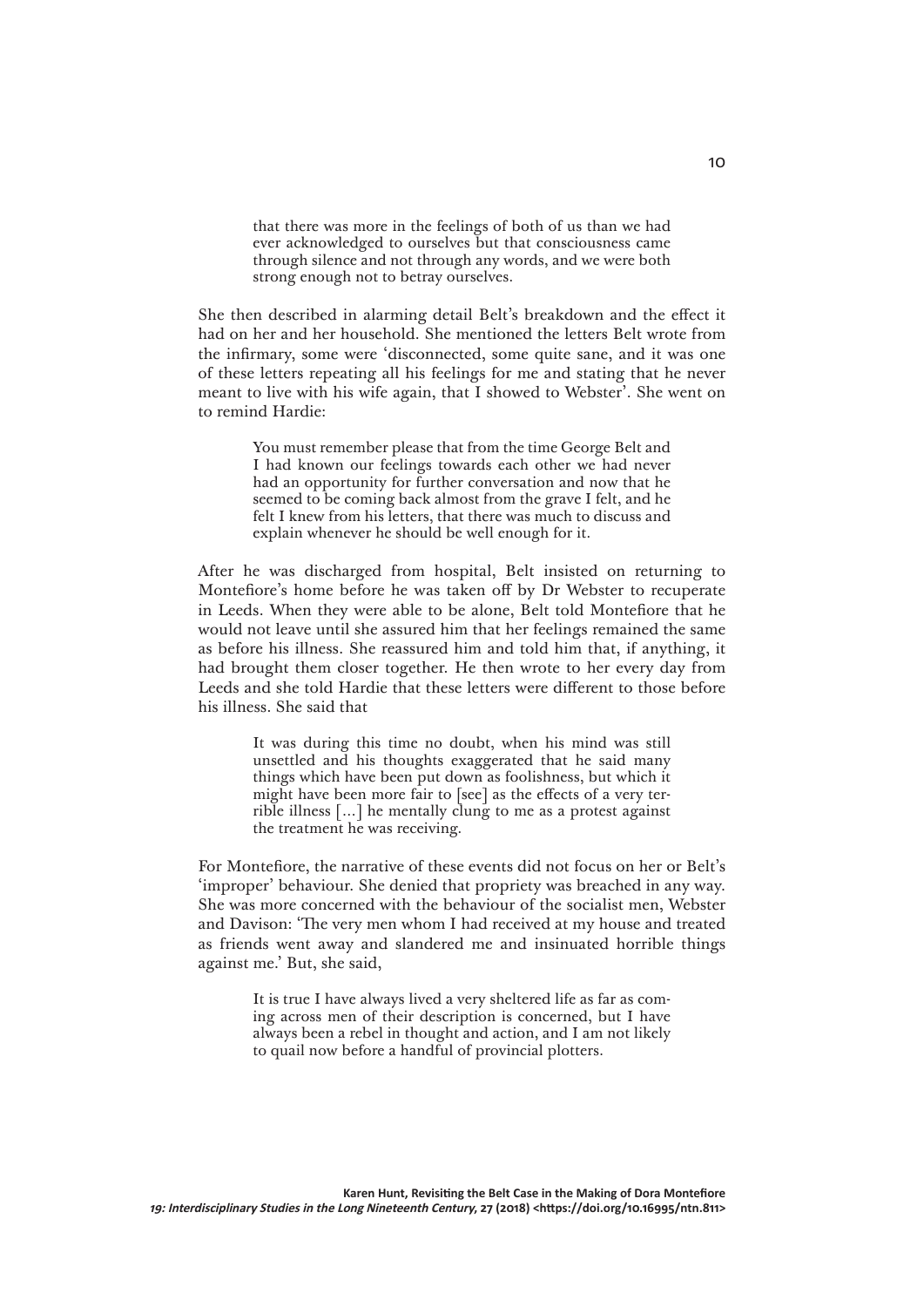that there was more in the feelings of both of us than we had ever acknowledged to ourselves but that consciousness came through silence and not through any words, and we were both strong enough not to betray ourselves.

She then described in alarming detail Belt's breakdown and the effect it had on her and her household. She mentioned the letters Belt wrote from the infirmary, some were 'disconnected, some quite sane, and it was one of these letters repeating all his feelings for me and stating that he never meant to live with his wife again, that I showed to Webster'. She went on to remind Hardie:

> You must remember please that from the time George Belt and I had known our feelings towards each other we had never had an opportunity for further conversation and now that he seemed to be coming back almost from the grave I felt, and he felt I knew from his letters, that there was much to discuss and explain whenever he should be well enough for it.

After he was discharged from hospital, Belt insisted on returning to Montefiore's home before he was taken off by Dr Webster to recuperate in Leeds. When they were able to be alone, Belt told Montefiore that he would not leave until she assured him that her feelings remained the same as before his illness. She reassured him and told him that, if anything, it had brought them closer together. He then wrote to her every day from Leeds and she told Hardie that these letters were different to those before his illness. She said that

> It was during this time no doubt, when his mind was still unsettled and his thoughts exaggerated that he said many things which have been put down as foolishness, but which it might have been more fair to [see] as the effects of a very terrible illness [...] he mentally clung to me as a protest against the treatment he was receiving.

For Montefiore, the narrative of these events did not focus on her or Belt's 'improper' behaviour. She denied that propriety was breached in any way. She was more concerned with the behaviour of the socialist men, Webster and Davison: 'The very men whom I had received at my house and treated as friends went away and slandered me and insinuated horrible things against me.' But, she said,

> It is true I have always lived a very sheltered life as far as coming across men of their description is concerned, but I have always been a rebel in thought and action, and I am not likely to quail now before a handful of provincial plotters.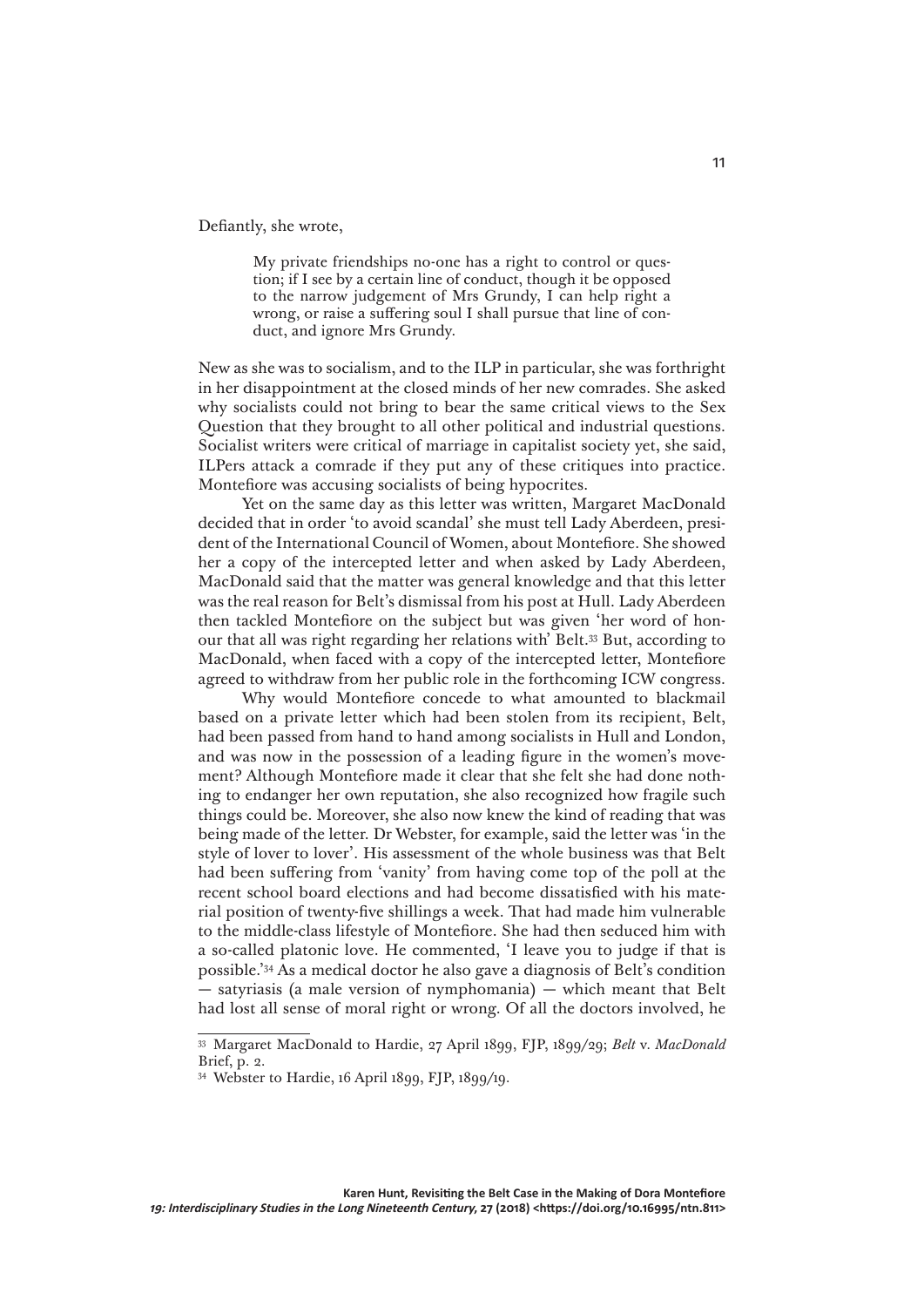Defiantly, she wrote,

My private friendships no-one has a right to control or question; if I see by a certain line of conduct, though it be opposed to the narrow judgement of Mrs Grundy, I can help right a wrong, or raise a suffering soul I shall pursue that line of conduct, and ignore Mrs Grundy.

New as she was to socialism, and to the ILP in particular, she was forthright in her disappointment at the closed minds of her new comrades. She asked why socialists could not bring to bear the same critical views to the Sex Question that they brought to all other political and industrial questions. Socialist writers were critical of marriage in capitalist society yet, she said, ILPers attack a comrade if they put any of these critiques into practice. Montefiore was accusing socialists of being hypocrites.

Yet on the same day as this letter was written, Margaret MacDonald decided that in order 'to avoid scandal' she must tell Lady Aberdeen, president of the International Council of Women, about Montefiore. She showed her a copy of the intercepted letter and when asked by Lady Aberdeen, MacDonald said that the matter was general knowledge and that this letter was the real reason for Belt's dismissal from his post at Hull. Lady Aberdeen then tackled Montefiore on the subject but was given 'her word of honour that all was right regarding her relations with' Belt.33 But, according to MacDonald, when faced with a copy of the intercepted letter, Montefiore agreed to withdraw from her public role in the forthcoming ICW congress.

Why would Montefiore concede to what amounted to blackmail based on a private letter which had been stolen from its recipient, Belt, had been passed from hand to hand among socialists in Hull and London, and was now in the possession of a leading figure in the women's movement? Although Montefiore made it clear that she felt she had done nothing to endanger her own reputation, she also recognized how fragile such things could be. Moreover, she also now knew the kind of reading that was being made of the letter. Dr Webster, for example, said the letter was 'in the style of lover to lover'. His assessment of the whole business was that Belt had been suffering from 'vanity' from having come top of the poll at the recent school board elections and had become dissatisfied with his material position of twenty-five shillings a week. That had made him vulnerable to the middle-class lifestyle of Montefiore. She had then seduced him with a so-called platonic love. He commented, 'I leave you to judge if that is possible.'34 As a medical doctor he also gave a diagnosis of Belt's condition — satyriasis (a male version of nymphomania) — which meant that Belt had lost all sense of moral right or wrong. Of all the doctors involved, he

<sup>33</sup> Margaret MacDonald to Hardie, 27 April 1899, FJP, 1899/29; *Belt* v. *MacDonald* Brief, p. 2.

<sup>34</sup> Webster to Hardie, 16 April 1899, FJP, 1899/19.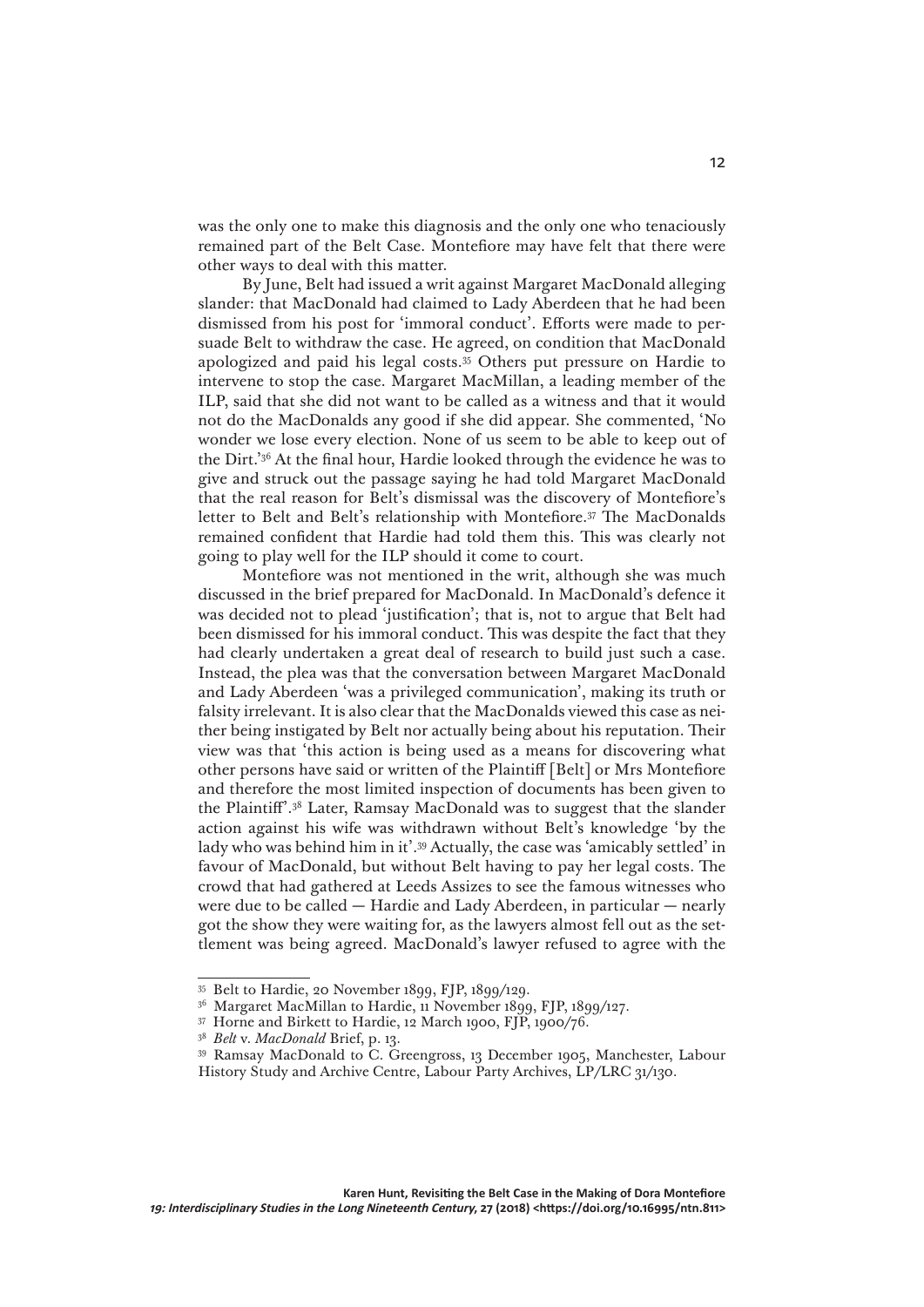was the only one to make this diagnosis and the only one who tenaciously remained part of the Belt Case. Montefiore may have felt that there were other ways to deal with this matter.

By June, Belt had issued a writ against Margaret MacDonald alleging slander: that MacDonald had claimed to Lady Aberdeen that he had been dismissed from his post for 'immoral conduct'. Efforts were made to persuade Belt to withdraw the case. He agreed, on condition that MacDonald apologized and paid his legal costs.35 Others put pressure on Hardie to intervene to stop the case. Margaret MacMillan, a leading member of the ILP, said that she did not want to be called as a witness and that it would not do the MacDonalds any good if she did appear. She commented, 'No wonder we lose every election. None of us seem to be able to keep out of the Dirt.'36 At the final hour, Hardie looked through the evidence he was to give and struck out the passage saying he had told Margaret MacDonald that the real reason for Belt's dismissal was the discovery of Montefiore's letter to Belt and Belt's relationship with Montefiore.<sup>37</sup> The MacDonalds remained confident that Hardie had told them this. This was clearly not going to play well for the ILP should it come to court.

Montefiore was not mentioned in the writ, although she was much discussed in the brief prepared for MacDonald. In MacDonald's defence it was decided not to plead 'justification'; that is, not to argue that Belt had been dismissed for his immoral conduct. This was despite the fact that they had clearly undertaken a great deal of research to build just such a case. Instead, the plea was that the conversation between Margaret MacDonald and Lady Aberdeen 'was a privileged communication', making its truth or falsity irrelevant. It is also clear that the MacDonalds viewed this case as neither being instigated by Belt nor actually being about his reputation. Their view was that 'this action is being used as a means for discovering what other persons have said or written of the Plaintiff [Belt] or Mrs Montefiore and therefore the most limited inspection of documents has been given to the Plaintiff'.38 Later, Ramsay MacDonald was to suggest that the slander action against his wife was withdrawn without Belt's knowledge 'by the lady who was behind him in it'.<sup>39</sup> Actually, the case was 'amicably settled' in favour of MacDonald, but without Belt having to pay her legal costs. The crowd that had gathered at Leeds Assizes to see the famous witnesses who were due to be called — Hardie and Lady Aberdeen, in particular — nearly got the show they were waiting for, as the lawyers almost fell out as the settlement was being agreed. MacDonald's lawyer refused to agree with the

<sup>35</sup> Belt to Hardie, 20 November 1899, FJP, 1899/129.

<sup>36</sup> Margaret MacMillan to Hardie, 11 November 1899, FJP, 1899/127.

<sup>37</sup> Horne and Birkett to Hardie, 12 March 1900, FJP, 1900/76.

<sup>38</sup> *Belt* v. *MacDonald* Brief, p. 13.

<sup>39</sup> Ramsay MacDonald to C. Greengross, 13 December 1905, Manchester, Labour History Study and Archive Centre, Labour Party Archives, LP/LRC 31/130.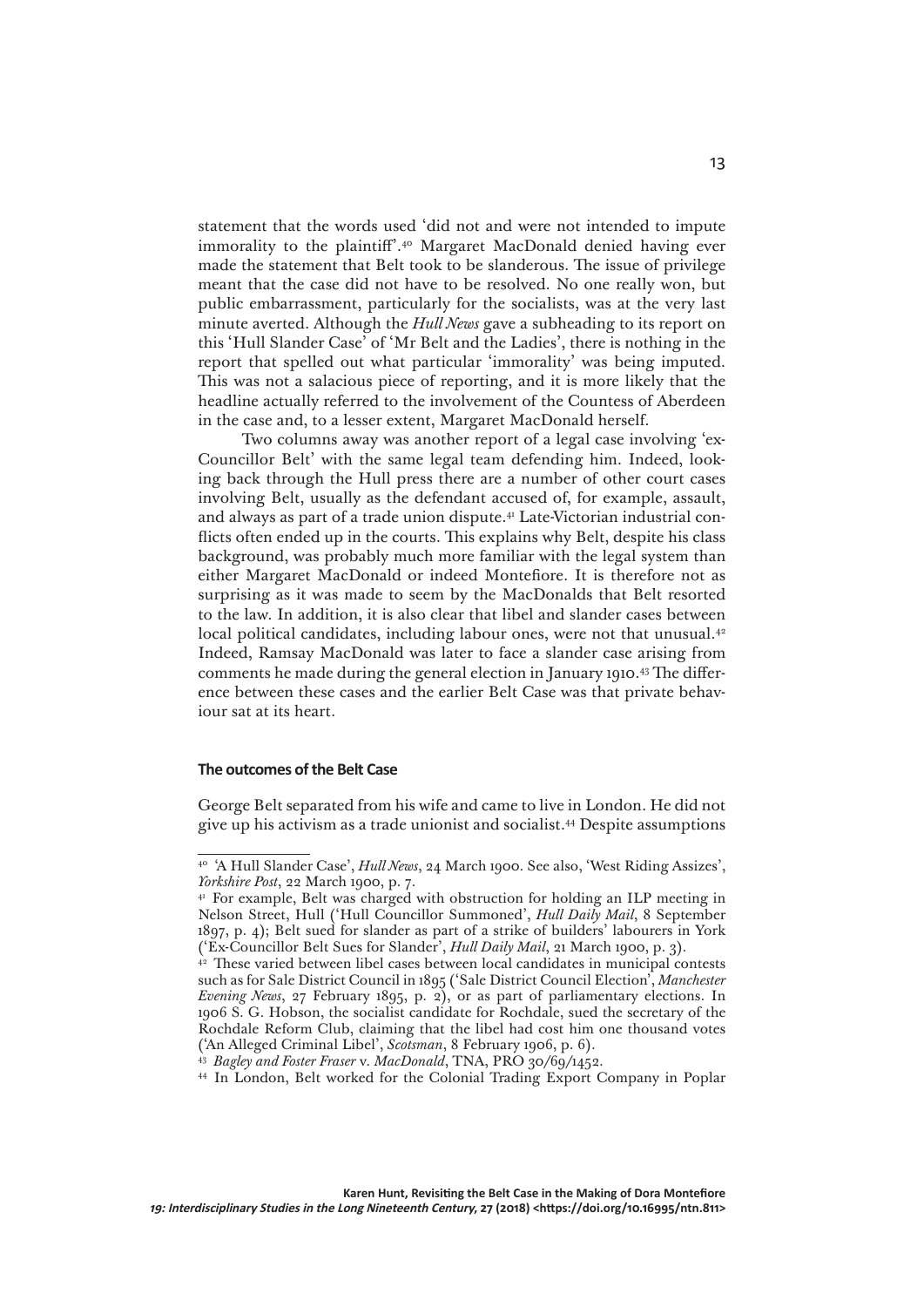statement that the words used 'did not and were not intended to impute immorality to the plaintiff'.40 Margaret MacDonald denied having ever made the statement that Belt took to be slanderous. The issue of privilege meant that the case did not have to be resolved. No one really won, but public embarrassment, particularly for the socialists, was at the very last minute averted. Although the *Hull News* gave a subheading to its report on this 'Hull Slander Case' of 'Mr Belt and the Ladies', there is nothing in the report that spelled out what particular 'immorality' was being imputed. This was not a salacious piece of reporting, and it is more likely that the headline actually referred to the involvement of the Countess of Aberdeen in the case and, to a lesser extent, Margaret MacDonald herself.

Two columns away was another report of a legal case involving 'ex-Councillor Belt' with the same legal team defending him. Indeed, looking back through the Hull press there are a number of other court cases involving Belt, usually as the defendant accused of, for example, assault, and always as part of a trade union dispute.<sup>41</sup> Late-Victorian industrial conflicts often ended up in the courts. This explains why Belt, despite his class background, was probably much more familiar with the legal system than either Margaret MacDonald or indeed Montefiore. It is therefore not as surprising as it was made to seem by the MacDonalds that Belt resorted to the law. In addition, it is also clear that libel and slander cases between local political candidates, including labour ones, were not that unusual.<sup>42</sup> Indeed, Ramsay MacDonald was later to face a slander case arising from comments he made during the general election in January 1910.43 The difference between these cases and the earlier Belt Case was that private behaviour sat at its heart.

#### **The outcomes of the Belt Case**

George Belt separated from his wife and came to live in London. He did not give up his activism as a trade unionist and socialist.44 Despite assumptions

<sup>40</sup> 'A Hull Slander Case', *Hull News*, 24 March 1900. See also, 'West Riding Assizes', *Yorkshire Post*, 22 March 1900, p. 7.

<sup>&</sup>lt;sup>41</sup> For example, Belt was charged with obstruction for holding an ILP meeting in Nelson Street, Hull ('Hull Councillor Summoned', *Hull Daily Mail*, 8 September 1897, p. 4); Belt sued for slander as part of a strike of builders' labourers in York ('Ex-Councillor Belt Sues for Slander', *Hull Daily Mail*, 21 March 1900, p. 3).

<sup>&</sup>lt;sup>42</sup> These varied between libel cases between local candidates in municipal contests such as for Sale District Council in 1895 ('Sale District Council Election', *Manchester Evening News*, 27 February 1895, p. 2), or as part of parliamentary elections. In 1906 S. G. Hobson, the socialist candidate for Rochdale, sued the secretary of the Rochdale Reform Club, claiming that the libel had cost him one thousand votes ('An Alleged Criminal Libel', *Scotsman*, 8 February 1906, p. 6).

<sup>43</sup> *Bagley and Foster Fraser* v. *MacDonald*, TNA, PRO 30/69/1452.

<sup>44</sup> In London, Belt worked for the Colonial Trading Export Company in Poplar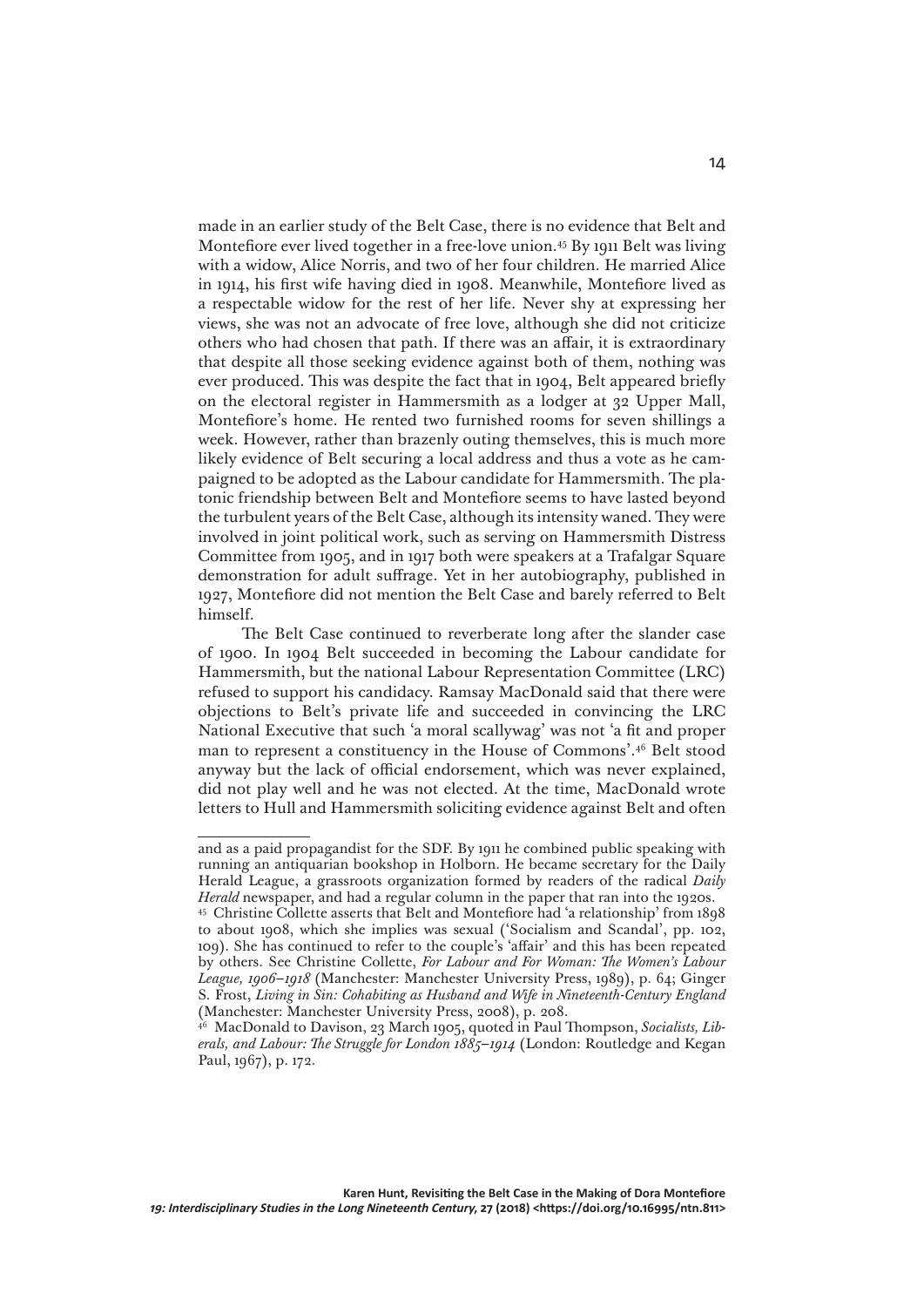made in an earlier study of the Belt Case, there is no evidence that Belt and Montefiore ever lived together in a free-love union.45 By 1911 Belt was living with a widow, Alice Norris, and two of her four children. He married Alice in 1914, his first wife having died in 1908. Meanwhile, Montefiore lived as a respectable widow for the rest of her life. Never shy at expressing her views, she was not an advocate of free love, although she did not criticize others who had chosen that path. If there was an affair, it is extraordinary that despite all those seeking evidence against both of them, nothing was ever produced. This was despite the fact that in 1904, Belt appeared briefly on the electoral register in Hammersmith as a lodger at 32 Upper Mall, Montefiore's home. He rented two furnished rooms for seven shillings a week. However, rather than brazenly outing themselves, this is much more likely evidence of Belt securing a local address and thus a vote as he campaigned to be adopted as the Labour candidate for Hammersmith. The platonic friendship between Belt and Montefiore seems to have lasted beyond the turbulent years of the Belt Case, although its intensity waned. They were involved in joint political work, such as serving on Hammersmith Distress Committee from 1905, and in 1917 both were speakers at a Trafalgar Square demonstration for adult suffrage. Yet in her autobiography, published in 1927, Montefiore did not mention the Belt Case and barely referred to Belt himself.

The Belt Case continued to reverberate long after the slander case of 1900. In 1904 Belt succeeded in becoming the Labour candidate for Hammersmith, but the national Labour Representation Committee (LRC) refused to support his candidacy. Ramsay MacDonald said that there were objections to Belt's private life and succeeded in convincing the LRC National Executive that such 'a moral scallywag' was not 'a fit and proper man to represent a constituency in the House of Commons'.46 Belt stood anyway but the lack of official endorsement, which was never explained, did not play well and he was not elected. At the time, MacDonald wrote letters to Hull and Hammersmith soliciting evidence against Belt and often

and as a paid propagandist for the SDF. By 1911 he combined public speaking with running an antiquarian bookshop in Holborn. He became secretary for the Daily Herald League, a grassroots organization formed by readers of the radical *Daily Herald* newspaper, and had a regular column in the paper that ran into the 1920s.

<sup>45</sup> Christine Collette asserts that Belt and Montefiore had 'a relationship' from 1898 to about 1908, which she implies was sexual ('Socialism and Scandal', pp. 102, 109). She has continued to refer to the couple's 'affair' and this has been repeated by others. See Christine Collette, *For Labour and For Woman: The Women's Labour League, 1906–1918* (Manchester: Manchester University Press, 1989), p. 64; Ginger S. Frost, *Living in Sin: Cohabiting as Husband and Wife in Nineteenth-Century England*  (Manchester: Manchester University Press, 2008), p. 208.

<sup>46</sup> MacDonald to Davison, 23 March 1905, quoted in Paul Thompson, *Socialists, Liberals, and Labour: The Struggle for London 1885–1914* (London: Routledge and Kegan Paul, 1967), p. 172.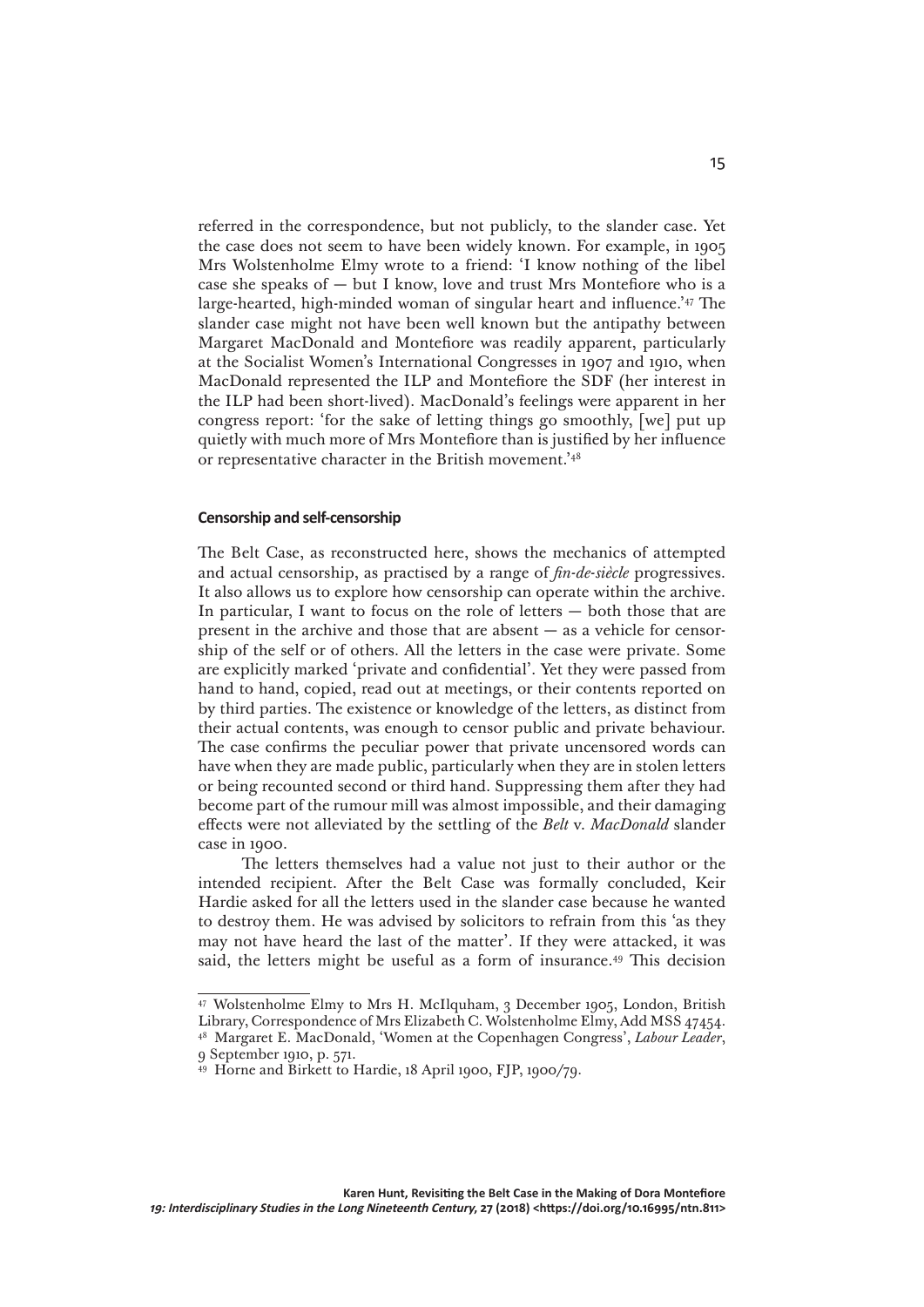referred in the correspondence, but not publicly, to the slander case. Yet the case does not seem to have been widely known. For example, in 1905 Mrs Wolstenholme Elmy wrote to a friend: 'I know nothing of the libel case she speaks of — but I know, love and trust Mrs Montefiore who is a large-hearted, high-minded woman of singular heart and influence.'47 The slander case might not have been well known but the antipathy between Margaret MacDonald and Montefiore was readily apparent, particularly at the Socialist Women's International Congresses in 1907 and 1910, when MacDonald represented the ILP and Montefiore the SDF (her interest in the ILP had been short-lived). MacDonald's feelings were apparent in her congress report: 'for the sake of letting things go smoothly, [we] put up quietly with much more of Mrs Montefiore than is justified by her influence or representative character in the British movement.'48

## **Censorship and self-censorship**

The Belt Case, as reconstructed here, shows the mechanics of attempted and actual censorship, as practised by a range of *fin-de-siècle* progressives. It also allows us to explore how censorship can operate within the archive. In particular, I want to focus on the role of letters — both those that are present in the archive and those that are absent — as a vehicle for censorship of the self or of others. All the letters in the case were private. Some are explicitly marked 'private and confidential'. Yet they were passed from hand to hand, copied, read out at meetings, or their contents reported on by third parties. The existence or knowledge of the letters, as distinct from their actual contents, was enough to censor public and private behaviour. The case confirms the peculiar power that private uncensored words can have when they are made public, particularly when they are in stolen letters or being recounted second or third hand. Suppressing them after they had become part of the rumour mill was almost impossible, and their damaging effects were not alleviated by the settling of the *Belt* v. *MacDonald* slander case in 1900.

The letters themselves had a value not just to their author or the intended recipient. After the Belt Case was formally concluded, Keir Hardie asked for all the letters used in the slander case because he wanted to destroy them. He was advised by solicitors to refrain from this 'as they may not have heard the last of the matter'. If they were attacked, it was said, the letters might be useful as a form of insurance.49 This decision

<sup>47</sup> Wolstenholme Elmy to Mrs H. McIlquham, 3 December 1905, London, British Library, Correspondence of Mrs Elizabeth C. Wolstenholme Elmy, Add MSS 47454.

<sup>48</sup> Margaret E. MacDonald, 'Women at the Copenhagen Congress', *Labour Leader*, 9 September 1910, p. 571.

<sup>49</sup> Horne and Birkett to Hardie, 18 April 1900, FJP, 1900/79.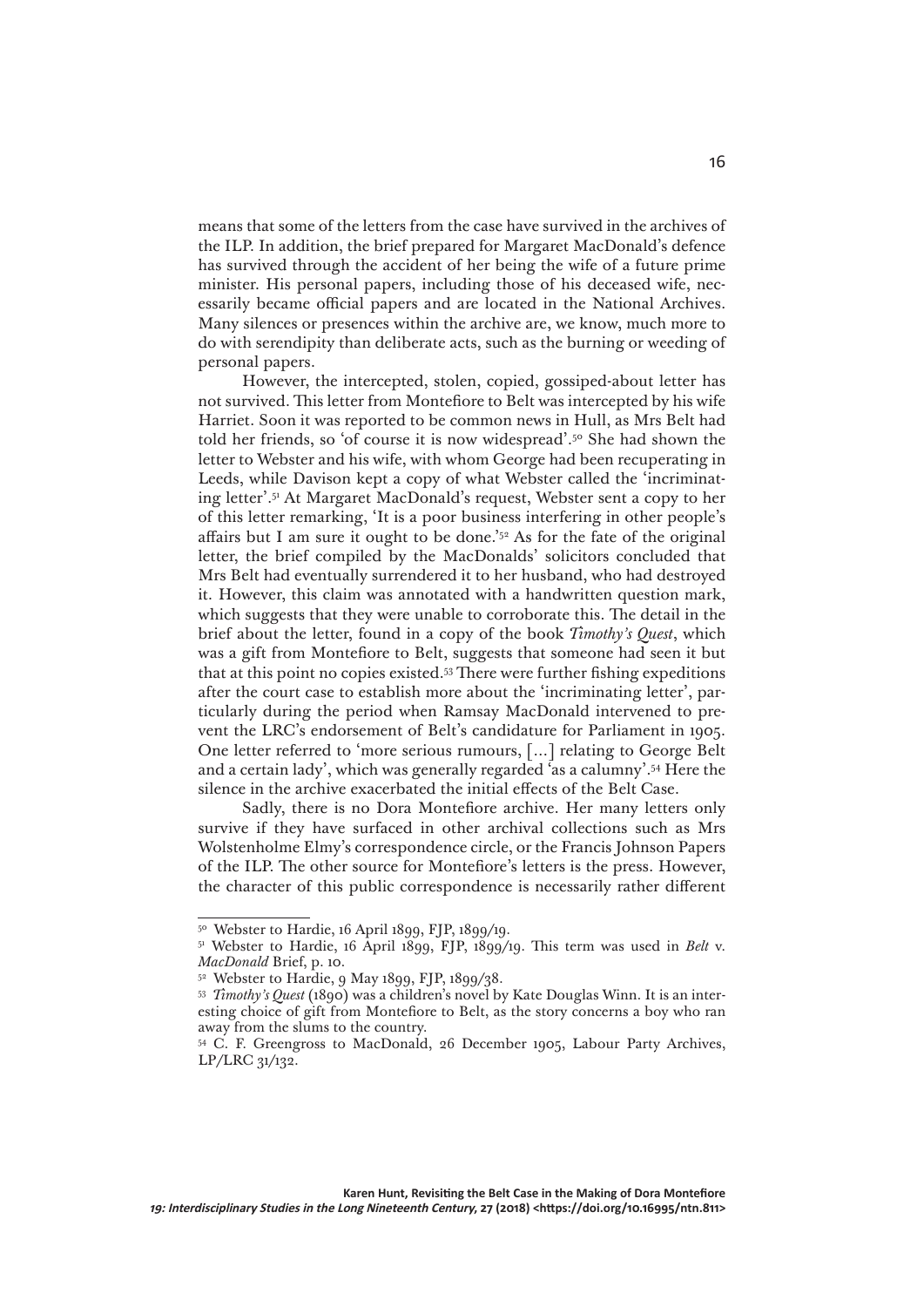means that some of the letters from the case have survived in the archives of the ILP. In addition, the brief prepared for Margaret MacDonald's defence has survived through the accident of her being the wife of a future prime minister. His personal papers, including those of his deceased wife, necessarily became official papers and are located in the National Archives. Many silences or presences within the archive are, we know, much more to do with serendipity than deliberate acts, such as the burning or weeding of personal papers.

However, the intercepted, stolen, copied, gossiped-about letter has not survived. This letter from Montefiore to Belt was intercepted by his wife Harriet. Soon it was reported to be common news in Hull, as Mrs Belt had told her friends, so 'of course it is now widespread'.50 She had shown the letter to Webster and his wife, with whom George had been recuperating in Leeds, while Davison kept a copy of what Webster called the 'incriminating letter'.51 At Margaret MacDonald's request, Webster sent a copy to her of this letter remarking, 'It is a poor business interfering in other people's affairs but I am sure it ought to be done.'52 As for the fate of the original letter, the brief compiled by the MacDonalds' solicitors concluded that Mrs Belt had eventually surrendered it to her husband, who had destroyed it. However, this claim was annotated with a handwritten question mark, which suggests that they were unable to corroborate this. The detail in the brief about the letter, found in a copy of the book *Timothy's Quest*, which was a gift from Montefiore to Belt, suggests that someone had seen it but that at this point no copies existed.53 There were further fishing expeditions after the court case to establish more about the 'incriminating letter', particularly during the period when Ramsay MacDonald intervened to prevent the LRC's endorsement of Belt's candidature for Parliament in 1905. One letter referred to 'more serious rumours, […] relating to George Belt and a certain lady', which was generally regarded 'as a calumny'.54 Here the silence in the archive exacerbated the initial effects of the Belt Case.

Sadly, there is no Dora Montefiore archive. Her many letters only survive if they have surfaced in other archival collections such as Mrs Wolstenholme Elmy's correspondence circle, or the Francis Johnson Papers of the ILP. The other source for Montefiore's letters is the press. However, the character of this public correspondence is necessarily rather different

<sup>50</sup> Webster to Hardie, 16 April 1899, FJP, 1899/19.

<sup>&</sup>lt;sup>51</sup> Webster to Hardie, 16 April 1899, FJP, 1899/19. This term was used in *Belt* v. *MacDonald* Brief, p. 10.

<sup>52</sup> Webster to Hardie, 9 May 1899, FJP, 1899/38.

<sup>53</sup> *Timothy's Quest* (1890) was a children's novel by Kate Douglas Winn. It is an interesting choice of gift from Montefiore to Belt, as the story concerns a boy who ran away from the slums to the country.

<sup>&</sup>lt;sup>54</sup> C. F. Greengross to MacDonald, 26 December 1905, Labour Party Archives, LP/LRC 31/132.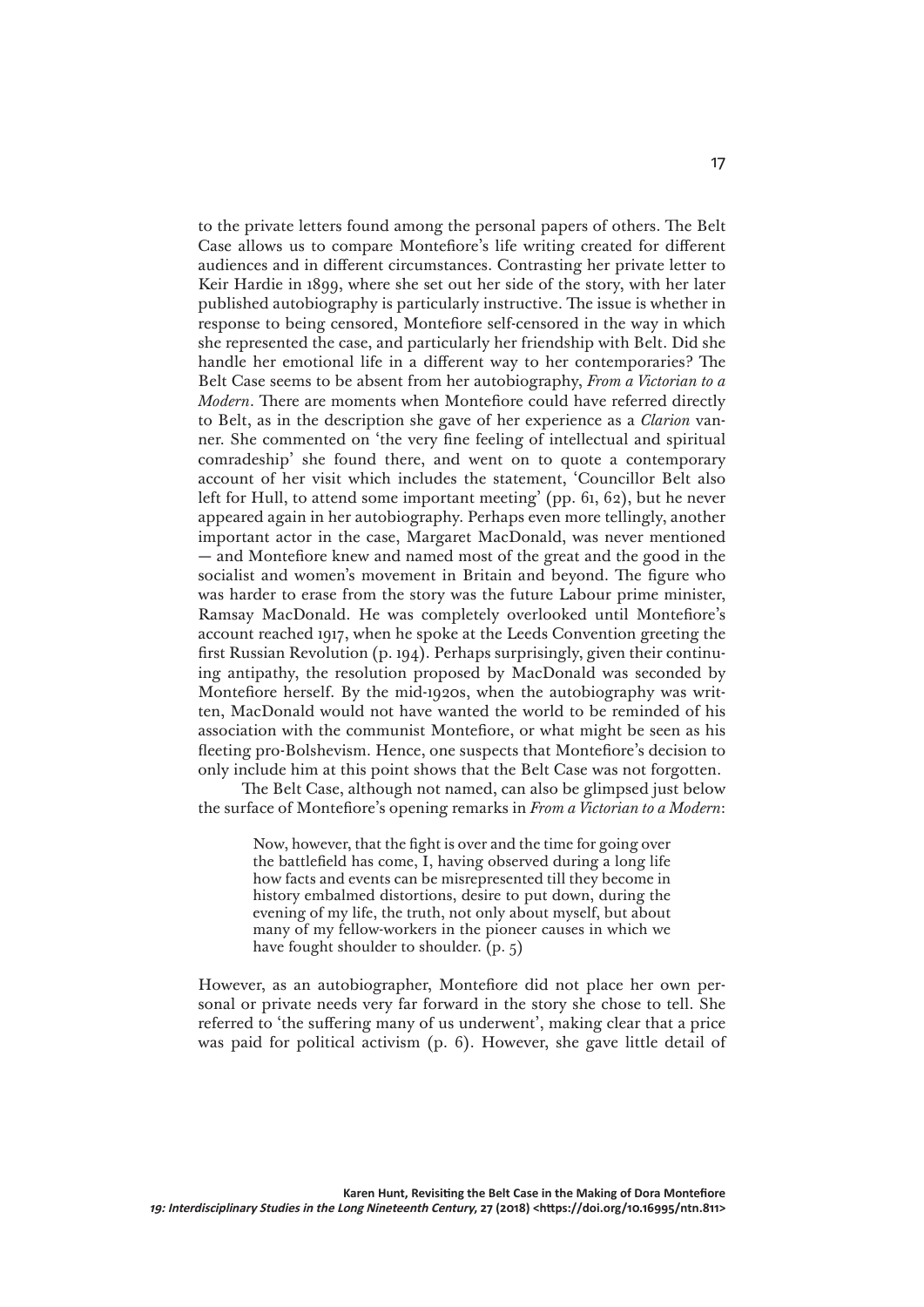to the private letters found among the personal papers of others. The Belt Case allows us to compare Montefiore's life writing created for different audiences and in different circumstances. Contrasting her private letter to Keir Hardie in 1899, where she set out her side of the story, with her later published autobiography is particularly instructive. The issue is whether in response to being censored, Montefiore self-censored in the way in which she represented the case, and particularly her friendship with Belt. Did she handle her emotional life in a different way to her contemporaries? The Belt Case seems to be absent from her autobiography, *From a Victorian to a Modern*. There are moments when Montefiore could have referred directly to Belt, as in the description she gave of her experience as a *Clarion* vanner. She commented on 'the very fine feeling of intellectual and spiritual comradeship' she found there, and went on to quote a contemporary account of her visit which includes the statement, 'Councillor Belt also left for Hull, to attend some important meeting' (pp. 61, 62), but he never appeared again in her autobiography. Perhaps even more tellingly, another important actor in the case, Margaret MacDonald, was never mentioned — and Montefiore knew and named most of the great and the good in the socialist and women's movement in Britain and beyond. The figure who was harder to erase from the story was the future Labour prime minister, Ramsay MacDonald. He was completely overlooked until Montefiore's account reached 1917, when he spoke at the Leeds Convention greeting the first Russian Revolution (p. 194). Perhaps surprisingly, given their continuing antipathy, the resolution proposed by MacDonald was seconded by Montefiore herself. By the mid-1920s, when the autobiography was written, MacDonald would not have wanted the world to be reminded of his association with the communist Montefiore, or what might be seen as his fleeting pro-Bolshevism. Hence, one suspects that Montefiore's decision to only include him at this point shows that the Belt Case was not forgotten.

The Belt Case, although not named, can also be glimpsed just below the surface of Montefiore's opening remarks in *From a Victorian to a Modern*:

> Now, however, that the fight is over and the time for going over the battlefield has come, I, having observed during a long life how facts and events can be misrepresented till they become in history embalmed distortions, desire to put down, during the evening of my life, the truth, not only about myself, but about many of my fellow-workers in the pioneer causes in which we have fought shoulder to shoulder. (p. 5)

However, as an autobiographer, Montefiore did not place her own personal or private needs very far forward in the story she chose to tell. She referred to 'the suffering many of us underwent', making clear that a price was paid for political activism (p. 6). However, she gave little detail of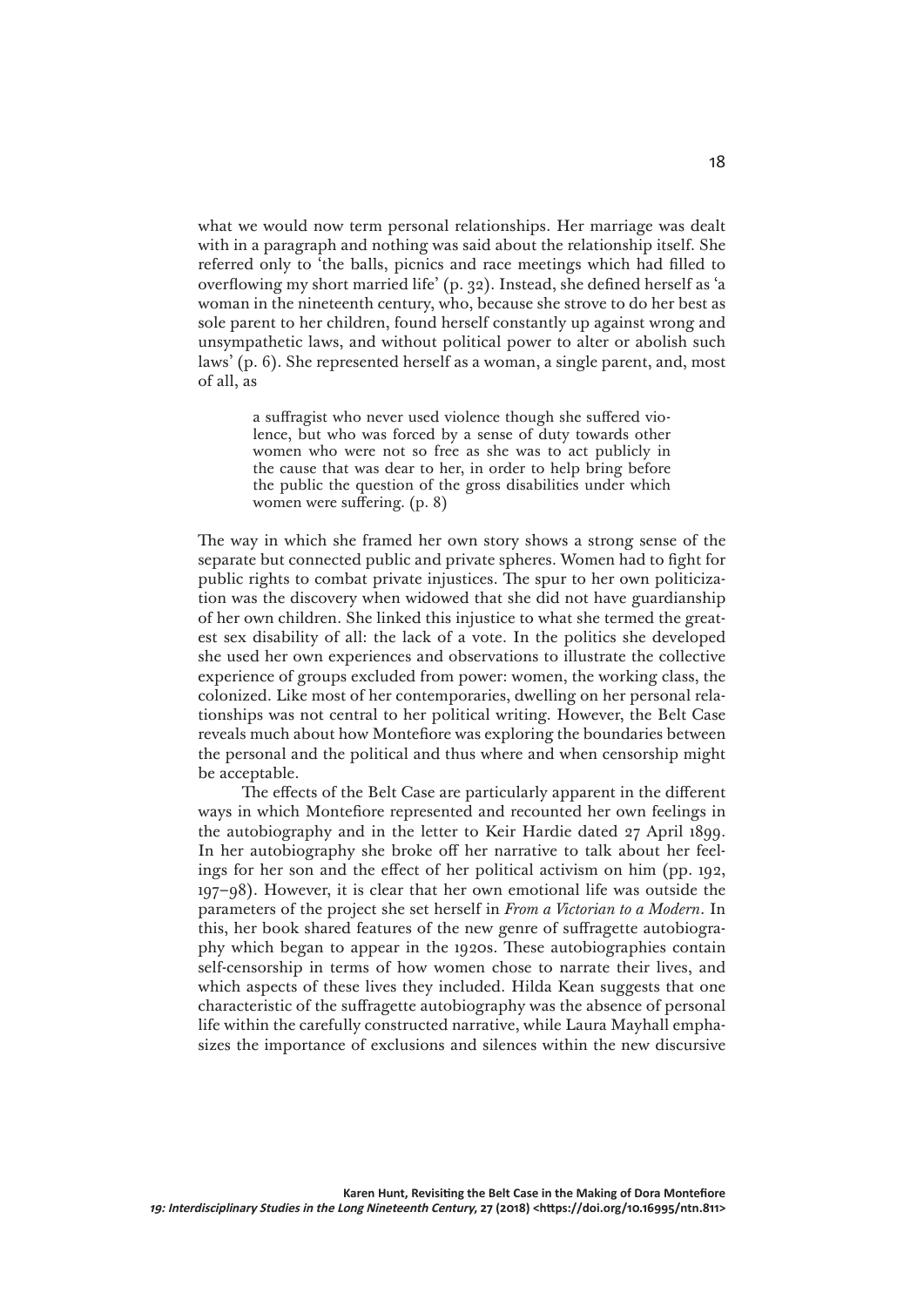what we would now term personal relationships. Her marriage was dealt with in a paragraph and nothing was said about the relationship itself. She referred only to 'the balls, picnics and race meetings which had filled to overflowing my short married life' (p. 32). Instead, she defined herself as 'a woman in the nineteenth century, who, because she strove to do her best as sole parent to her children, found herself constantly up against wrong and unsympathetic laws, and without political power to alter or abolish such laws' (p. 6). She represented herself as a woman, a single parent, and, most of all, as

> a suffragist who never used violence though she suffered violence, but who was forced by a sense of duty towards other women who were not so free as she was to act publicly in the cause that was dear to her, in order to help bring before the public the question of the gross disabilities under which women were suffering. (p. 8)

The way in which she framed her own story shows a strong sense of the separate but connected public and private spheres. Women had to fight for public rights to combat private injustices. The spur to her own politicization was the discovery when widowed that she did not have guardianship of her own children. She linked this injustice to what she termed the greatest sex disability of all: the lack of a vote. In the politics she developed she used her own experiences and observations to illustrate the collective experience of groups excluded from power: women, the working class, the colonized. Like most of her contemporaries, dwelling on her personal relationships was not central to her political writing. However, the Belt Case reveals much about how Montefiore was exploring the boundaries between the personal and the political and thus where and when censorship might be acceptable.

The effects of the Belt Case are particularly apparent in the different ways in which Montefiore represented and recounted her own feelings in the autobiography and in the letter to Keir Hardie dated 27 April 1899. In her autobiography she broke off her narrative to talk about her feelings for her son and the effect of her political activism on him (pp. 192, 197–98). However, it is clear that her own emotional life was outside the parameters of the project she set herself in *From a Victorian to a Modern*. In this, her book shared features of the new genre of suffragette autobiography which began to appear in the 1920s. These autobiographies contain self-censorship in terms of how women chose to narrate their lives, and which aspects of these lives they included. Hilda Kean suggests that one characteristic of the suffragette autobiography was the absence of personal life within the carefully constructed narrative, while Laura Mayhall emphasizes the importance of exclusions and silences within the new discursive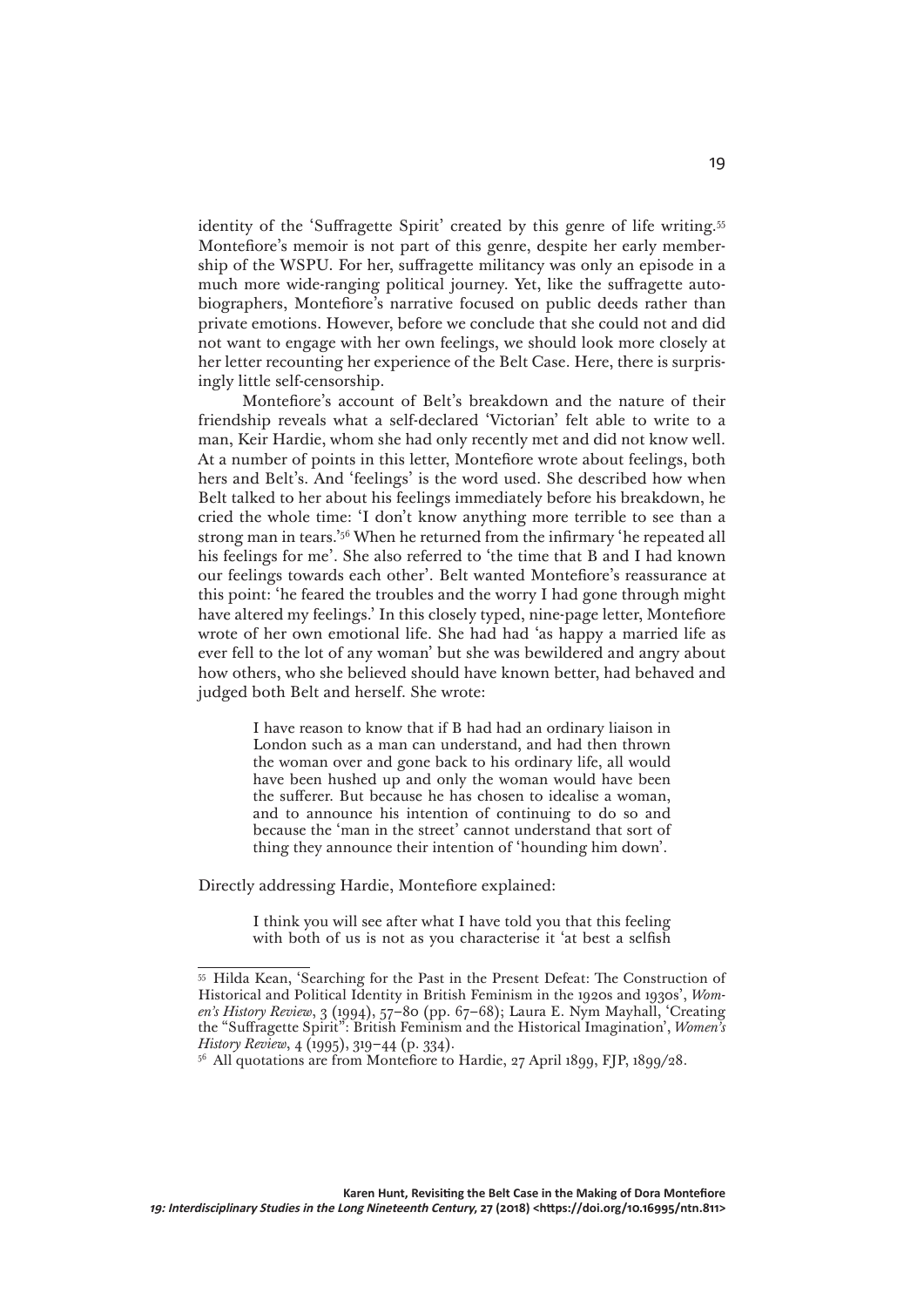identity of the 'Suffragette Spirit' created by this genre of life writing.<sup>55</sup> Montefiore's memoir is not part of this genre, despite her early membership of the WSPU. For her, suffragette militancy was only an episode in a much more wide-ranging political journey. Yet, like the suffragette autobiographers, Montefiore's narrative focused on public deeds rather than private emotions. However, before we conclude that she could not and did not want to engage with her own feelings, we should look more closely at her letter recounting her experience of the Belt Case. Here, there is surprisingly little self-censorship.

Montefiore's account of Belt's breakdown and the nature of their friendship reveals what a self-declared 'Victorian' felt able to write to a man, Keir Hardie, whom she had only recently met and did not know well. At a number of points in this letter, Montefiore wrote about feelings, both hers and Belt's. And 'feelings' is the word used. She described how when Belt talked to her about his feelings immediately before his breakdown, he cried the whole time: 'I don't know anything more terrible to see than a strong man in tears.'56 When he returned from the infirmary 'he repeated all his feelings for me'. She also referred to 'the time that B and I had known our feelings towards each other'. Belt wanted Montefiore's reassurance at this point: 'he feared the troubles and the worry I had gone through might have altered my feelings.' In this closely typed, nine-page letter, Montefiore wrote of her own emotional life. She had had 'as happy a married life as ever fell to the lot of any woman' but she was bewildered and angry about how others, who she believed should have known better, had behaved and judged both Belt and herself. She wrote:

> I have reason to know that if B had had an ordinary liaison in London such as a man can understand, and had then thrown the woman over and gone back to his ordinary life, all would have been hushed up and only the woman would have been the sufferer. But because he has chosen to idealise a woman, and to announce his intention of continuing to do so and because the 'man in the street' cannot understand that sort of thing they announce their intention of 'hounding him down'.

Directly addressing Hardie, Montefiore explained:

I think you will see after what I have told you that this feeling with both of us is not as you characterise it 'at best a selfish

<sup>55</sup> Hilda Kean, 'Searching for the Past in the Present Defeat: The Construction of Historical and Political Identity in British Feminism in the 1920s and 1930s', *Women's History Review*, 3 (1994), 57–80 (pp. 67–68); Laura E. Nym Mayhall, 'Creating the "Suffragette Spirit": British Feminism and the Historical Imagination', *Women's History Review*, 4 (1995), 319–44 (p. 334).

<sup>&</sup>lt;sup>56</sup> All quotations are from Montefiore to Hardie, 27 April 1899, FJP, 1899/28.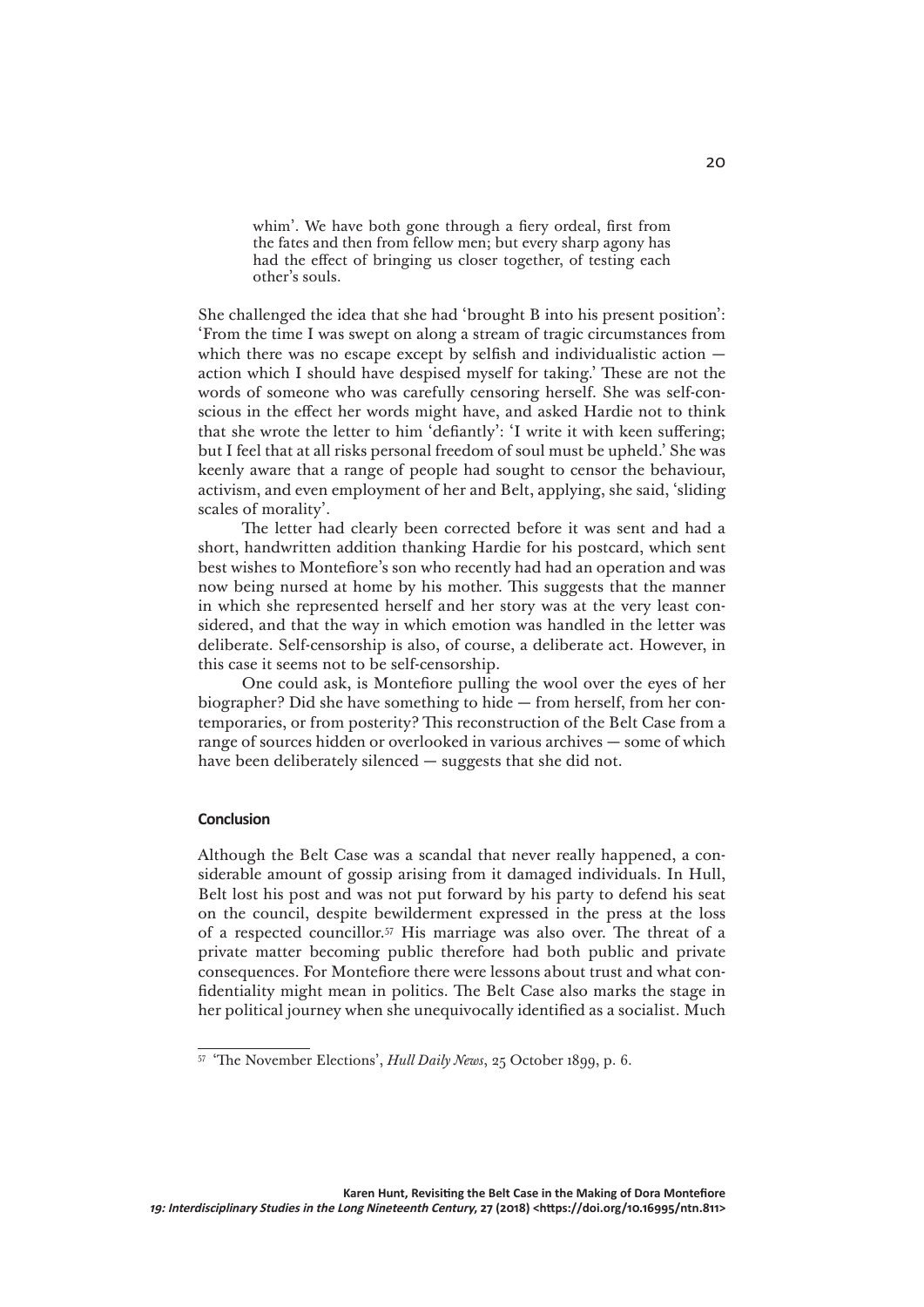whim'. We have both gone through a fiery ordeal, first from the fates and then from fellow men; but every sharp agony has had the effect of bringing us closer together, of testing each other's souls.

She challenged the idea that she had 'brought B into his present position': 'From the time I was swept on along a stream of tragic circumstances from which there was no escape except by selfish and individualistic action action which I should have despised myself for taking.' These are not the words of someone who was carefully censoring herself. She was self-conscious in the effect her words might have, and asked Hardie not to think that she wrote the letter to him 'defiantly': 'I write it with keen suffering; but I feel that at all risks personal freedom of soul must be upheld.' She was keenly aware that a range of people had sought to censor the behaviour, activism, and even employment of her and Belt, applying, she said, 'sliding scales of morality'.

The letter had clearly been corrected before it was sent and had a short, handwritten addition thanking Hardie for his postcard, which sent best wishes to Montefiore's son who recently had had an operation and was now being nursed at home by his mother. This suggests that the manner in which she represented herself and her story was at the very least considered, and that the way in which emotion was handled in the letter was deliberate. Self-censorship is also, of course, a deliberate act. However, in this case it seems not to be self-censorship.

One could ask, is Montefiore pulling the wool over the eyes of her biographer? Did she have something to hide — from herself, from her contemporaries, or from posterity? This reconstruction of the Belt Case from a range of sources hidden or overlooked in various archives — some of which have been deliberately silenced — suggests that she did not.

### **Conclusion**

Although the Belt Case was a scandal that never really happened, a considerable amount of gossip arising from it damaged individuals. In Hull, Belt lost his post and was not put forward by his party to defend his seat on the council, despite bewilderment expressed in the press at the loss of a respected councillor.57 His marriage was also over. The threat of a private matter becoming public therefore had both public and private consequences. For Montefiore there were lessons about trust and what confidentiality might mean in politics. The Belt Case also marks the stage in her political journey when she unequivocally identified as a socialist. Much

<sup>57</sup> 'The November Elections', *Hull Daily News*, 25 October 1899, p. 6.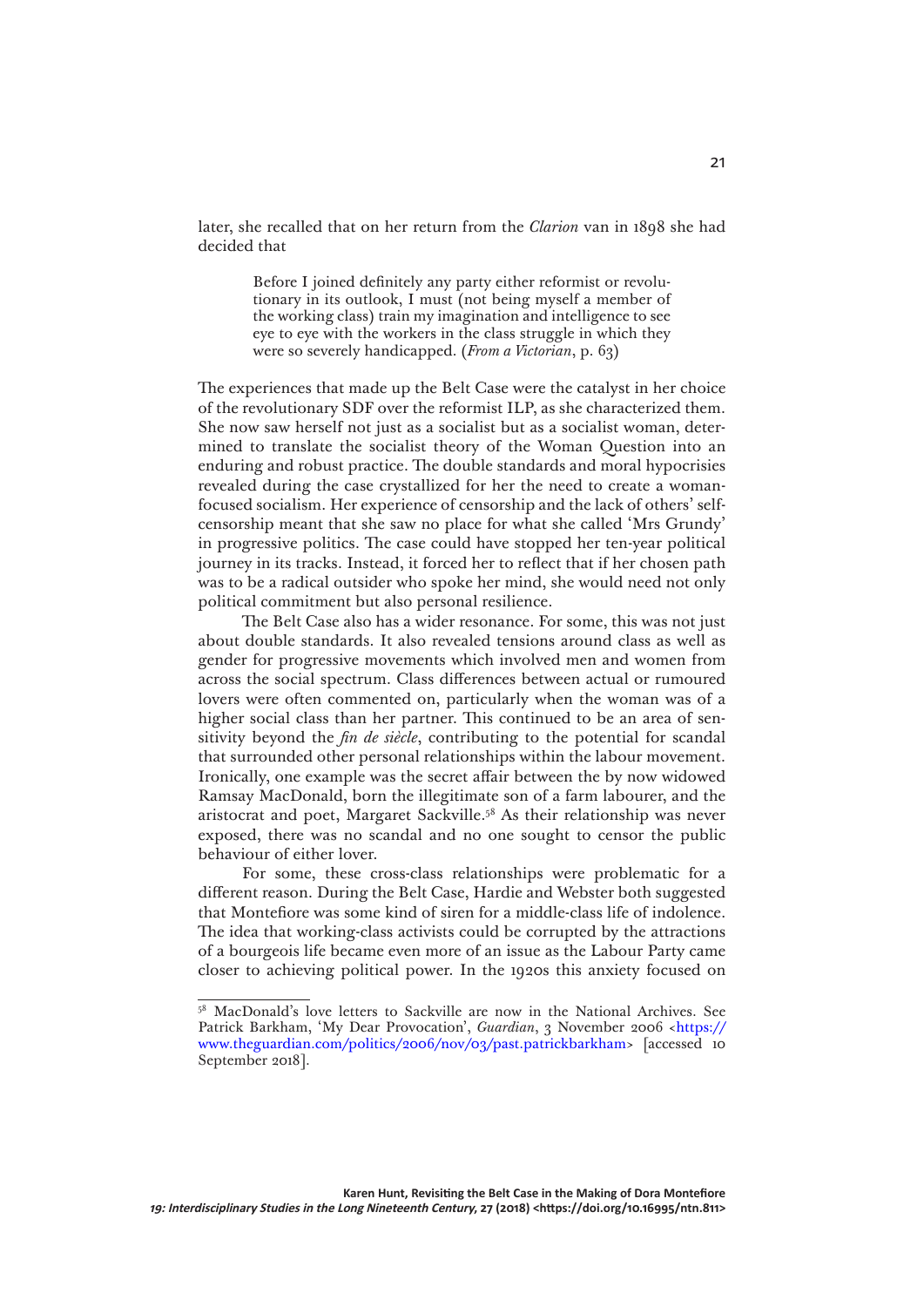later, she recalled that on her return from the *Clarion* van in 1898 she had decided that

> Before I joined definitely any party either reformist or revolutionary in its outlook, I must (not being myself a member of the working class) train my imagination and intelligence to see eye to eye with the workers in the class struggle in which they were so severely handicapped. (*From a Victorian*, p. 63)

The experiences that made up the Belt Case were the catalyst in her choice of the revolutionary SDF over the reformist ILP, as she characterized them. She now saw herself not just as a socialist but as a socialist woman, determined to translate the socialist theory of the Woman Question into an enduring and robust practice. The double standards and moral hypocrisies revealed during the case crystallized for her the need to create a womanfocused socialism. Her experience of censorship and the lack of others' selfcensorship meant that she saw no place for what she called 'Mrs Grundy' in progressive politics. The case could have stopped her ten-year political journey in its tracks. Instead, it forced her to reflect that if her chosen path was to be a radical outsider who spoke her mind, she would need not only political commitment but also personal resilience.

The Belt Case also has a wider resonance. For some, this was not just about double standards. It also revealed tensions around class as well as gender for progressive movements which involved men and women from across the social spectrum. Class differences between actual or rumoured lovers were often commented on, particularly when the woman was of a higher social class than her partner. This continued to be an area of sensitivity beyond the *fin de siècle*, contributing to the potential for scandal that surrounded other personal relationships within the labour movement. Ironically, one example was the secret affair between the by now widowed Ramsay MacDonald, born the illegitimate son of a farm labourer, and the aristocrat and poet, Margaret Sackville.58 As their relationship was never exposed, there was no scandal and no one sought to censor the public behaviour of either lover.

For some, these cross-class relationships were problematic for a different reason. During the Belt Case, Hardie and Webster both suggested that Montefiore was some kind of siren for a middle-class life of indolence. The idea that working-class activists could be corrupted by the attractions of a bourgeois life became even more of an issue as the Labour Party came closer to achieving political power. In the 1920s this anxiety focused on

<sup>58</sup> MacDonald's love letters to Sackville are now in the National Archives. See Patrick Barkham, 'My Dear Provocation', *Guardian*, 3 November 2006 <[https://](https://www.theguardian.com/politics/2006/nov/03/past.patrickbarkham) [www.theguardian.com/politics/2006/nov/03/past.patrickbarkham>](https://www.theguardian.com/politics/2006/nov/03/past.patrickbarkham) [accessed 10 September 2018].